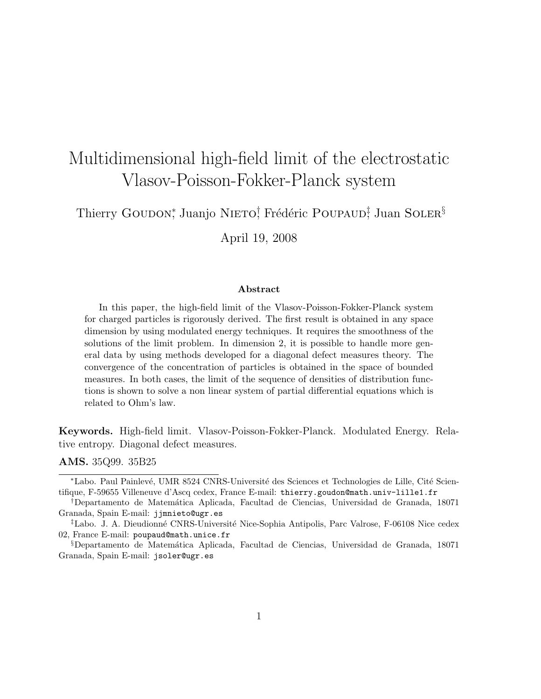# Multidimensional high-field limit of the electrostatic Vlasov-Poisson-Fokker-Planck system

Thierry Goudon\*, Juanjo Nieto† Frédéric Poupaud‡ Juan Soler§

April 19, 2008

#### Abstract

In this paper, the high-field limit of the Vlasov-Poisson-Fokker-Planck system for charged particles is rigorously derived. The first result is obtained in any space dimension by using modulated energy techniques. It requires the smoothness of the solutions of the limit problem. In dimension 2, it is possible to handle more general data by using methods developed for a diagonal defect measures theory. The convergence of the concentration of particles is obtained in the space of bounded measures. In both cases, the limit of the sequence of densities of distribution functions is shown to solve a non linear system of partial differential equations which is related to Ohm's law.

Keywords. High-field limit. Vlasov-Poisson-Fokker-Planck. Modulated Energy. Relative entropy. Diagonal defect measures.

AMS. 35Q99. 35B25

<sup>\*</sup>Labo. Paul Painlevé, UMR 8524 CNRS-Université des Sciences et Technologies de Lille, Cité Scientifique, F-59655 Villeneuve d'Ascq cedex, France E-mail: thierry.goudon@math.univ-lille1.fr

<sup>†</sup>Departamento de Matem´atica Aplicada, Facultad de Ciencias, Universidad de Granada, 18071 Granada, Spain E-mail: jjmnieto@ugr.es

<sup>&</sup>lt;sup>‡</sup>Labo. J. A. Dieudionné CNRS-Université Nice-Sophia Antipolis, Parc Valrose, F-06108 Nice cedex 02, France E-mail: poupaud@math.unice.fr

<sup>§</sup>Departamento de Matem´atica Aplicada, Facultad de Ciencias, Universidad de Granada, 18071 Granada, Spain E-mail: jsoler@ugr.es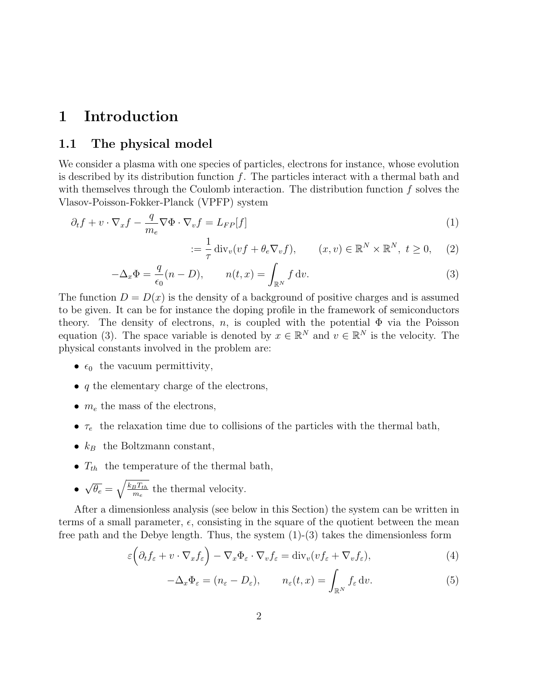### 1 Introduction

#### 1.1 The physical model

We consider a plasma with one species of particles, electrons for instance, whose evolution is described by its distribution function  $f$ . The particles interact with a thermal bath and with themselves through the Coulomb interaction. The distribution function  $f$  solves the Vlasov-Poisson-Fokker-Planck (VPFP) system

$$
\partial_t f + v \cdot \nabla_x f - \frac{q}{m_e} \nabla \Phi \cdot \nabla_v f = L_{FP}[f] \tag{1}
$$

$$
:= \frac{1}{\tau} \operatorname{div}_v(v f + \theta_e \nabla_v f), \qquad (x, v) \in \mathbb{R}^N \times \mathbb{R}^N, \ t \ge 0, \quad (2)
$$

$$
-\Delta_x \Phi = \frac{q}{\epsilon_0} (n - D), \qquad n(t, x) = \int_{\mathbb{R}^N} f \, \mathrm{d}v. \tag{3}
$$

The function  $D = D(x)$  is the density of a background of positive charges and is assumed to be given. It can be for instance the doping profile in the framework of semiconductors theory. The density of electrons, n, is coupled with the potential  $\Phi$  via the Poisson equation (3). The space variable is denoted by  $x \in \mathbb{R}^N$  and  $v \in \mathbb{R}^N$  is the velocity. The physical constants involved in the problem are:

- $\epsilon_0$  the vacuum permittivity,
- $\bullet$  q the elementary charge of the electrons,
- $m_e$  the mass of the electrons,
- $\tau_e$  the relaxation time due to collisions of the particles with the thermal bath,
- $k_B$  the Boltzmann constant,
- $T_{th}$  the temperature of the thermal bath,
- √  $\overline{\theta_e} = \sqrt{\frac{k_B T_{th}}{m_e}}$  $\frac{B T_{th}}{m_e}$  the thermal velocity.

After a dimensionless analysis (see below in this Section) the system can be written in terms of a small parameter,  $\epsilon$ , consisting in the square of the quotient between the mean free path and the Debye length. Thus, the system  $(1)-(3)$  takes the dimensionless form

$$
\varepsilon \left( \partial_t f_\varepsilon + v \cdot \nabla_x f_\varepsilon \right) - \nabla_x \Phi_\varepsilon \cdot \nabla_v f_\varepsilon = \text{div}_v (v f_\varepsilon + \nabla_v f_\varepsilon), \tag{4}
$$

$$
-\Delta_x \Phi_{\varepsilon} = (n_{\varepsilon} - D_{\varepsilon}), \qquad n_{\varepsilon}(t, x) = \int_{\mathbb{R}^N} f_{\varepsilon} \, \mathrm{d}v. \tag{5}
$$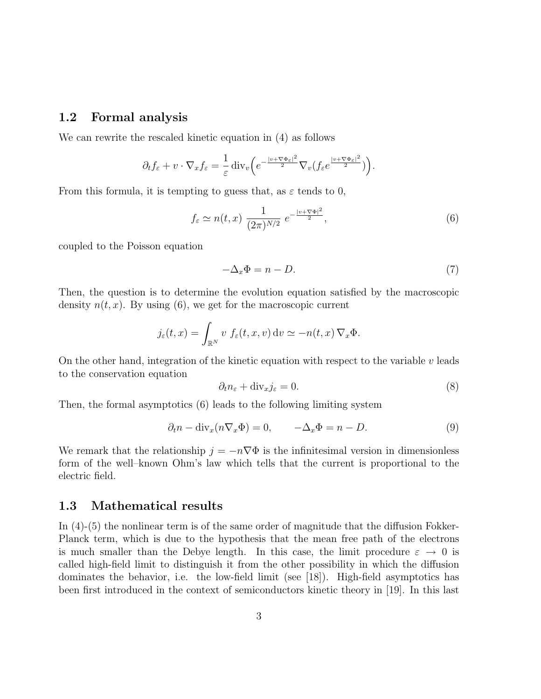#### 1.2 Formal analysis

We can rewrite the rescaled kinetic equation in (4) as follows

$$
\partial_t f_{\varepsilon} + v \cdot \nabla_x f_{\varepsilon} = \frac{1}{\varepsilon} \operatorname{div}_v \left( e^{-\frac{|v + \nabla \Phi_{\varepsilon}|^2}{2}} \nabla_v (f_{\varepsilon} e^{\frac{|v + \nabla \Phi_{\varepsilon}|^2}{2}}) \right).
$$

From this formula, it is tempting to guess that, as  $\varepsilon$  tends to 0,

$$
f_{\varepsilon} \simeq n(t, x) \; \frac{1}{(2\pi)^{N/2}} \; e^{-\frac{|v + \nabla \Phi|^2}{2}},\tag{6}
$$

coupled to the Poisson equation

$$
-\Delta_x \Phi = n - D. \tag{7}
$$

Then, the question is to determine the evolution equation satisfied by the macroscopic density  $n(t, x)$ . By using (6), we get for the macroscopic current

$$
j_{\varepsilon}(t,x) = \int_{\mathbb{R}^N} v \, f_{\varepsilon}(t,x,v) \, dv \simeq -n(t,x) \, \nabla_x \Phi.
$$

On the other hand, integration of the kinetic equation with respect to the variable  $v$  leads to the conservation equation

$$
\partial_t n_{\varepsilon} + \text{div}_x j_{\varepsilon} = 0. \tag{8}
$$

Then, the formal asymptotics (6) leads to the following limiting system

$$
\partial_t n - \text{div}_x(n\nabla_x \Phi) = 0, \qquad -\Delta_x \Phi = n - D. \tag{9}
$$

We remark that the relationship  $j = -n\nabla\Phi$  is the infinitesimal version in dimensionless form of the well–known Ohm's law which tells that the current is proportional to the electric field.

#### 1.3 Mathematical results

In (4)-(5) the nonlinear term is of the same order of magnitude that the diffusion Fokker-Planck term, which is due to the hypothesis that the mean free path of the electrons is much smaller than the Debye length. In this case, the limit procedure  $\varepsilon \to 0$  is called high-field limit to distinguish it from the other possibility in which the diffusion dominates the behavior, i.e. the low-field limit (see [18]). High-field asymptotics has been first introduced in the context of semiconductors kinetic theory in [19]. In this last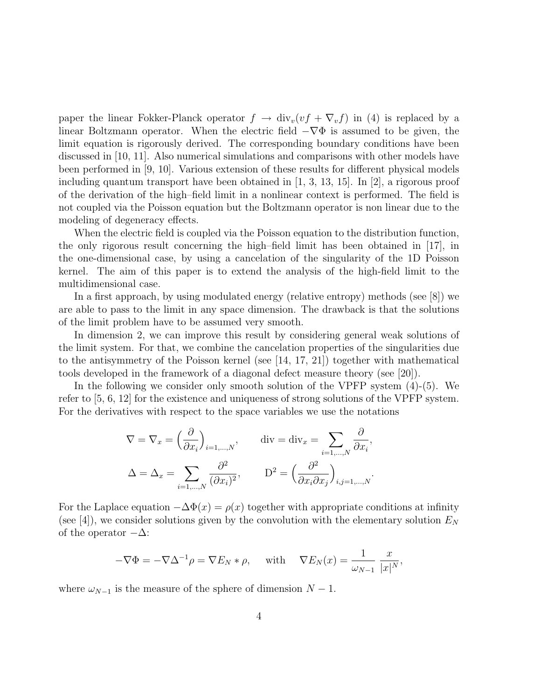paper the linear Fokker-Planck operator  $f \to \text{div}_v(vf + \nabla_v f)$  in (4) is replaced by a linear Boltzmann operator. When the electric field  $-\nabla\Phi$  is assumed to be given, the limit equation is rigorously derived. The corresponding boundary conditions have been discussed in [10, 11]. Also numerical simulations and comparisons with other models have been performed in [9, 10]. Various extension of these results for different physical models including quantum transport have been obtained in [1, 3, 13, 15]. In [2], a rigorous proof of the derivation of the high–field limit in a nonlinear context is performed. The field is not coupled via the Poisson equation but the Boltzmann operator is non linear due to the modeling of degeneracy effects.

When the electric field is coupled via the Poisson equation to the distribution function, the only rigorous result concerning the high–field limit has been obtained in [17], in the one-dimensional case, by using a cancelation of the singularity of the 1D Poisson kernel. The aim of this paper is to extend the analysis of the high-field limit to the multidimensional case.

In a first approach, by using modulated energy (relative entropy) methods (see [8]) we are able to pass to the limit in any space dimension. The drawback is that the solutions of the limit problem have to be assumed very smooth.

In dimension 2, we can improve this result by considering general weak solutions of the limit system. For that, we combine the cancelation properties of the singularities due to the antisymmetry of the Poisson kernel (see [14, 17, 21]) together with mathematical tools developed in the framework of a diagonal defect measure theory (see [20]).

In the following we consider only smooth solution of the VPFP system (4)-(5). We refer to [5, 6, 12] for the existence and uniqueness of strong solutions of the VPFP system. For the derivatives with respect to the space variables we use the notations

$$
\nabla = \nabla_x = \left(\frac{\partial}{\partial x_i}\right)_{i=1,\dots,N}, \quad \text{div} = \text{div}_x = \sum_{i=1,\dots,N} \frac{\partial}{\partial x_i},
$$

$$
\Delta = \Delta_x = \sum_{i=1,\dots,N} \frac{\partial^2}{(\partial x_i)^2}, \quad \text{D}^2 = \left(\frac{\partial^2}{\partial x_i \partial x_j}\right)_{i,j=1,\dots,N}.
$$

For the Laplace equation  $-\Delta\Phi(x) = \rho(x)$  together with appropriate conditions at infinity (see [4]), we consider solutions given by the convolution with the elementary solution  $E_N$ of the operator  $-\Delta$ :

$$
-\nabla \Phi = -\nabla \Delta^{-1} \rho = \nabla E_N * \rho, \quad \text{ with } \quad \nabla E_N(x) = \frac{1}{\omega_{N-1}} \frac{x}{|x|^N},
$$

where  $\omega_{N-1}$  is the measure of the sphere of dimension  $N-1$ .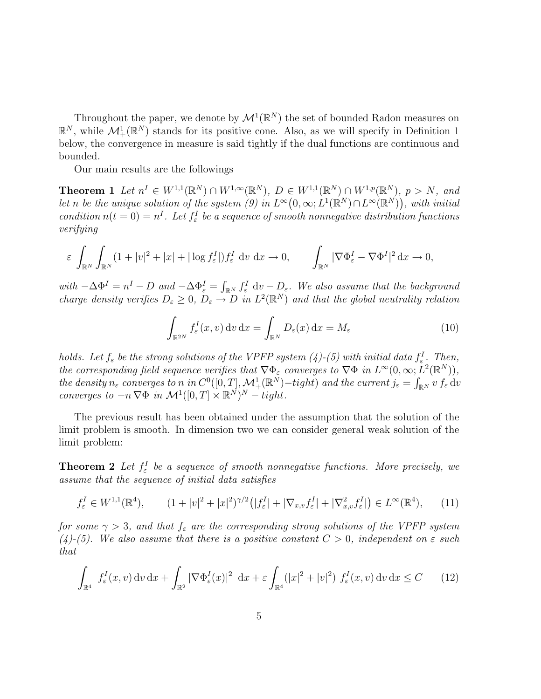Throughout the paper, we denote by  $\mathcal{M}^1(\mathbb{R}^N)$  the set of bounded Radon measures on  $\mathbb{R}^N$ , while  $\mathcal{M}^1_+(\mathbb{R}^N)$  stands for its positive cone. Also, as we will specify in Definition 1 below, the convergence in measure is said tightly if the dual functions are continuous and bounded.

Our main results are the followings

**Theorem 1** Let  $n^I \in W^{1,1}(\mathbb{R}^N) \cap W^{1,\infty}(\mathbb{R}^N)$ ,  $D \in W^{1,1}(\mathbb{R}^N) \cap W^{1,p}(\mathbb{R}^N)$ ,  $p > N$ , and let n be the unique solution of the system (9) in  $L^{\infty}(0,\infty; L^{1}(\mathbb{R}^{N}) \cap L^{\infty}(\mathbb{R}^{N}))$ , with initial condition  $n(t=0) = n<sup>I</sup>$ . Let  $f_{\varepsilon}$  be a sequence of smooth nonnegative distribution functions verifying

$$
\varepsilon \int_{\mathbb{R}^N} \int_{\mathbb{R}^N} (1+|v|^2+|x|+|\log f^I_{\varepsilon}|) f^I_{\varepsilon} dv dx \to 0, \qquad \int_{\mathbb{R}^N} |\nabla \Phi^I_{\varepsilon} - \nabla \Phi^I|^2 dx \to 0,
$$

with  $-\Delta\Phi^I = n^I - D$  and  $-\Delta\Phi^I_\varepsilon = \int_{\mathbb{R}^N} f^I_\varepsilon dv - D_\varepsilon$ . We also assume that the background charge density verifies  $D_{\varepsilon} \geq 0$ ,  $D_{\varepsilon} \to D$  in  $L^2(\mathbb{R}^N)$  and that the global neutrality relation

$$
\int_{\mathbb{R}^{2N}} f_{\varepsilon}^{I}(x, v) dv dx = \int_{\mathbb{R}^{N}} D_{\varepsilon}(x) dx = M_{\varepsilon}
$$
\n(10)

holds. Let  $f_{\varepsilon}$  be the strong solutions of the VPFP system (4)-(5) with initial data  $f_{\varepsilon}^I$ . Then, the corresponding field sequence verifies that  $\nabla \Phi_{\varepsilon}$  converges to  $\nabla \Phi$  in  $L^{\infty}(0,\infty; L^{2}(\mathbb{R}^{N}))$ , the density  $n_{\varepsilon}$  converges to n in  $C^0([0,T],\mathcal{M}^1_+(\mathbb{R}^N)$ -tight) and the current  $j_{\varepsilon} = \int_{\mathbb{R}^N} v f_{\varepsilon} dv$ converges to  $-n \nabla \Phi$  in  $\mathcal{M}^1([0,T] \times \mathbb{R}^N)^N - tight$ .

The previous result has been obtained under the assumption that the solution of the limit problem is smooth. In dimension two we can consider general weak solution of the limit problem:

**Theorem 2** Let  $f^I_\varepsilon$  be a sequence of smooth nonnegative functions. More precisely, we assume that the sequence of initial data satisfies

$$
f_{\varepsilon}^{I} \in W^{1,1}(\mathbb{R}^{4}), \qquad (1+|v|^{2}+|x|^{2})^{\gamma/2}(|f_{\varepsilon}^{I}|+|\nabla_{x,v}f_{\varepsilon}^{I}|+|\nabla_{x,v}^{2}f_{\varepsilon}^{I}|) \in L^{\infty}(\mathbb{R}^{4}), \qquad (11)
$$

for some  $\gamma > 3$ , and that  $f_{\varepsilon}$  are the corresponding strong solutions of the VPFP system (4)-(5). We also assume that there is a positive constant  $C > 0$ , independent on  $\varepsilon$  such that

$$
\int_{\mathbb{R}^4} f_{\varepsilon}^I(x, v) dv dx + \int_{\mathbb{R}^2} |\nabla \Phi_{\varepsilon}^I(x)|^2 dx + \varepsilon \int_{\mathbb{R}^4} (|x|^2 + |v|^2) f_{\varepsilon}^I(x, v) dv dx \le C \qquad (12)
$$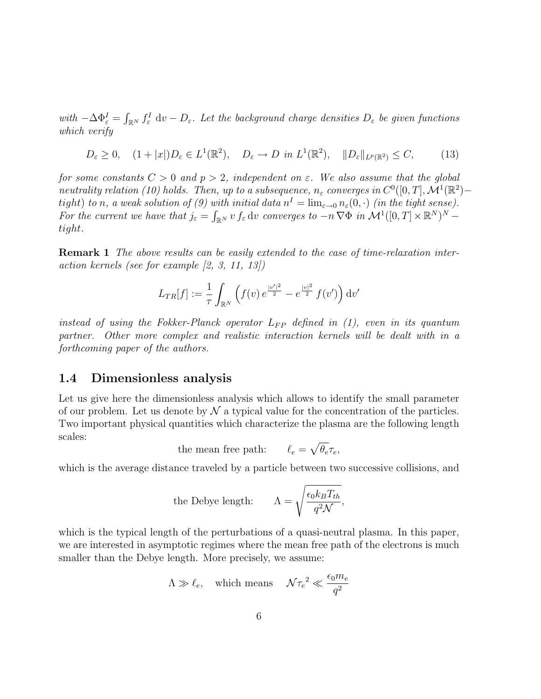with  $-\Delta\Phi_{\varepsilon}^I=\int_{\mathbb{R}^N}f_{\varepsilon}^I\;{\rm d} v-D_{\varepsilon}$ . Let the background charge densities  $D_{\varepsilon}$  be given functions which verify

$$
D_{\varepsilon} \ge 0, \quad (1+|x|)D_{\varepsilon} \in L^{1}(\mathbb{R}^{2}), \quad D_{\varepsilon} \to D \text{ in } L^{1}(\mathbb{R}^{2}), \quad ||D_{\varepsilon}||_{L^{p}(\mathbb{R}^{2})} \le C, \tag{13}
$$

for some constants  $C > 0$  and  $p > 2$ , independent on  $\varepsilon$ . We also assume that the global neutrality relation (10) holds. Then, up to a subsequence,  $n_{\varepsilon}$  converges in  $C^0([0,T], \mathcal{M}^1(\mathbb{R}^2)$  – tight) to n, a weak solution of (9) with initial data  $n^I = \lim_{\varepsilon \to 0} n_{\varepsilon}(0, \cdot)$  (in the tight sense). For the current we have that  $j_{\varepsilon} = \int_{\mathbb{R}^N} v f_{\varepsilon} dv$  converges to  $-n \nabla \Phi$  in  $\mathcal{M}^1([0,T] \times \mathbb{R}^N)^N$ tight.

Remark 1 The above results can be easily extended to the case of time-relaxation interaction kernels (see for example [2, 3, 11, 13])

$$
L_{TR}[f] := \frac{1}{\tau} \int_{\mathbb{R}^N} \left( f(v) \, e^{\frac{|v'|^2}{2}} - e^{\frac{|v|^2}{2}} \, f(v') \right) \mathrm{d}v'
$$

instead of using the Fokker-Planck operator  $L_{FP}$  defined in (1), even in its quantum partner. Other more complex and realistic interaction kernels will be dealt with in a forthcoming paper of the authors.

#### 1.4 Dimensionless analysis

Let us give here the dimensionless analysis which allows to identify the small parameter of our problem. Let us denote by  $\mathcal N$  a typical value for the concentration of the particles. Two important physical quantities which characterize the plasma are the following length scales:

the mean free path: 
$$
\ell_e = \sqrt{\theta_e} \tau_e
$$
,

which is the average distance traveled by a particle between two successive collisions, and

the Debye length: 
$$
\Lambda = \sqrt{\frac{\epsilon_0 k_B T_{th}}{q^2 \mathcal{N}}},
$$

which is the typical length of the perturbations of a quasi-neutral plasma. In this paper, we are interested in asymptotic regimes where the mean free path of the electrons is much smaller than the Debye length. More precisely, we assume:

$$
\Lambda \gg \ell_e
$$
, which means  $\mathcal{N}\tau_e^2 \ll \frac{\epsilon_0 m_e}{q^2}$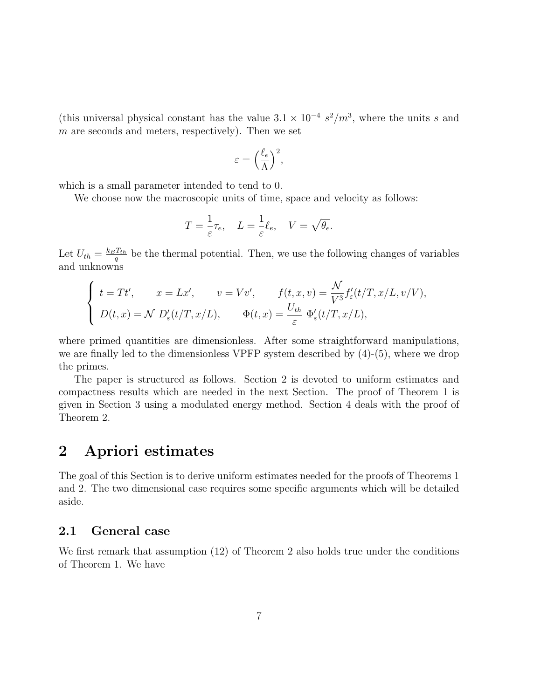(this universal physical constant has the value  $3.1 \times 10^{-4} s^2/m^3$ , where the units s and  $m$  are seconds and meters, respectively). Then we set

$$
\varepsilon = \Big(\frac{\ell_e}{\Lambda}\Big)^2,
$$

which is a small parameter intended to tend to 0.

We choose now the macroscopic units of time, space and velocity as follows:

$$
T = \frac{1}{\varepsilon}\tau_e, \quad L = \frac{1}{\varepsilon}\ell_e, \quad V = \sqrt{\theta_e}.
$$

Let  $U_{th} = \frac{k_B T_{th}}{q}$  $\frac{T_{th}}{q}$  be the thermal potential. Then, we use the following changes of variables and unknowns

$$
\begin{cases}\nt = Tt', & x = Lx', \qquad v = Vv', \qquad f(t, x, v) = \frac{\mathcal{N}}{V^3} f'_{\varepsilon}(t/T, x/L, v/V), \\
D(t, x) = \mathcal{N} \ D'_{\varepsilon}(t/T, x/L), & \Phi(t, x) = \frac{U_{th}}{\varepsilon} \ \Phi'_{\varepsilon}(t/T, x/L),\n\end{cases}
$$

where primed quantities are dimensionless. After some straightforward manipulations, we are finally led to the dimensionless VPFP system described by (4)-(5), where we drop the primes.

The paper is structured as follows. Section 2 is devoted to uniform estimates and compactness results which are needed in the next Section. The proof of Theorem 1 is given in Section 3 using a modulated energy method. Section 4 deals with the proof of Theorem 2.

### 2 Apriori estimates

The goal of this Section is to derive uniform estimates needed for the proofs of Theorems 1 and 2. The two dimensional case requires some specific arguments which will be detailed aside.

#### 2.1 General case

We first remark that assumption (12) of Theorem 2 also holds true under the conditions of Theorem 1. We have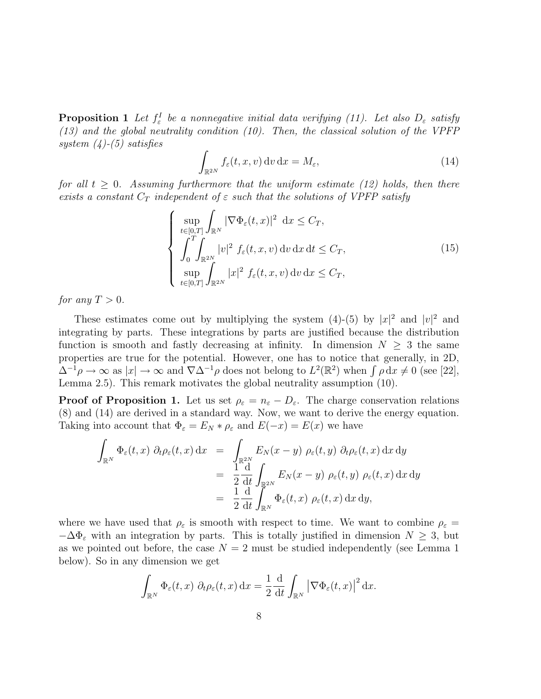**Proposition 1** Let  $f^I_\varepsilon$  be a nonnegative initial data verifying (11). Let also  $D_\varepsilon$  satisfy (13) and the global neutrality condition (10). Then, the classical solution of the VPFP system  $(4)$ - $(5)$  satisfies

$$
\int_{\mathbb{R}^{2N}} f_{\varepsilon}(t, x, v) dv dx = M_{\varepsilon}, \qquad (14)
$$

for all  $t \geq 0$ . Assuming furthermore that the uniform estimate (12) holds, then there exists a constant  $C_T$  independent of  $\varepsilon$  such that the solutions of VPFP satisfy

$$
\begin{cases}\n\sup_{t\in[0,T]}\int_{\mathbb{R}^N} |\nabla \Phi_{\varepsilon}(t,x)|^2 \, dx \leq C_T, \\
\int_0^T \int_{\mathbb{R}^{2N}} |v|^2 f_{\varepsilon}(t,x,v) \, dv \, dx \, dt \leq C_T, \\
\sup_{t\in[0,T]}\int_{\mathbb{R}^{2N}} |x|^2 f_{\varepsilon}(t,x,v) \, dv \, dx \leq C_T,\n\end{cases} \tag{15}
$$

for any  $T > 0$ .

These estimates come out by multiplying the system (4)-(5) by  $|x|^2$  and  $|v|^2$  and integrating by parts. These integrations by parts are justified because the distribution function is smooth and fastly decreasing at infinity. In dimension  $N \geq 3$  the same properties are true for the potential. However, one has to notice that generally, in 2D,  $\Delta^{-1}\rho \to \infty$  as  $|x| \to \infty$  and  $\nabla \Delta^{-1}\rho$  does not belong to  $L^2(\mathbb{R}^2)$  when  $\int \rho dx \neq 0$  (see [22], Lemma 2.5). This remark motivates the global neutrality assumption (10).

**Proof of Proposition 1.** Let us set  $\rho_{\varepsilon} = n_{\varepsilon} - D_{\varepsilon}$ . The charge conservation relations (8) and (14) are derived in a standard way. Now, we want to derive the energy equation. Taking into account that  $\Phi_{\varepsilon} = E_N * \rho_{\varepsilon}$  and  $E(-x) = E(x)$  we have

$$
\int_{\mathbb{R}^N} \Phi_{\varepsilon}(t,x) \, \partial_t \rho_{\varepsilon}(t,x) \, dx = \int_{\mathbb{R}^{2N}} E_N(x-y) \, \rho_{\varepsilon}(t,y) \, \partial_t \rho_{\varepsilon}(t,x) \, dx \, dy
$$
\n
$$
= \frac{1}{2} \frac{d}{dt} \int_{\mathbb{R}^{2N}} E_N(x-y) \, \rho_{\varepsilon}(t,y) \, \rho_{\varepsilon}(t,x) \, dx \, dy
$$
\n
$$
= \frac{1}{2} \frac{d}{dt} \int_{\mathbb{R}^N} \Phi_{\varepsilon}(t,x) \, \rho_{\varepsilon}(t,x) \, dx \, dy,
$$

where we have used that  $\rho_{\varepsilon}$  is smooth with respect to time. We want to combine  $\rho_{\varepsilon}$  =  $-\Delta\Phi_{\varepsilon}$  with an integration by parts. This is totally justified in dimension  $N \geq 3$ , but as we pointed out before, the case  $N = 2$  must be studied independently (see Lemma 1) below). So in any dimension we get

$$
\int_{\mathbb{R}^N} \Phi_{\varepsilon}(t,x) \, \partial_t \rho_{\varepsilon}(t,x) \, dx = \frac{1}{2} \frac{d}{dt} \int_{\mathbb{R}^N} \left| \nabla \Phi_{\varepsilon}(t,x) \right|^2 dx.
$$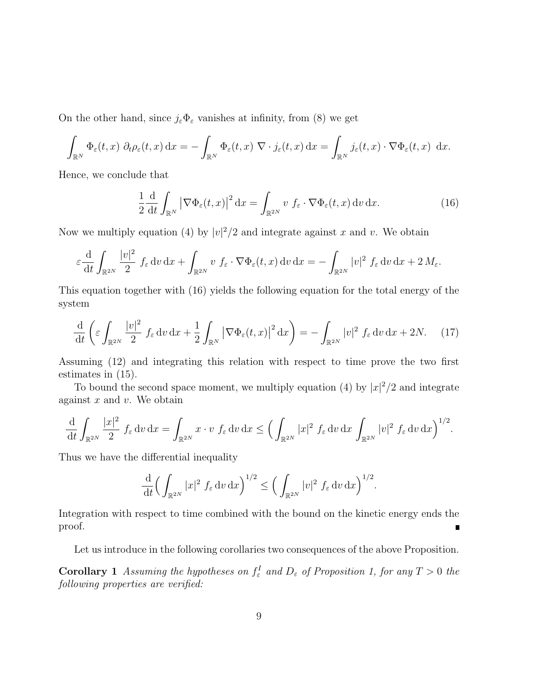On the other hand, since  $j_{\varepsilon} \Phi_{\varepsilon}$  vanishes at infinity, from (8) we get

$$
\int_{\mathbb{R}^N} \Phi_{\varepsilon}(t,x) \, \partial_t \rho_{\varepsilon}(t,x) \, dx = - \int_{\mathbb{R}^N} \Phi_{\varepsilon}(t,x) \, \nabla \cdot j_{\varepsilon}(t,x) \, dx = \int_{\mathbb{R}^N} j_{\varepsilon}(t,x) \cdot \nabla \Phi_{\varepsilon}(t,x) \, dx.
$$

Hence, we conclude that

$$
\frac{1}{2} \frac{d}{dt} \int_{\mathbb{R}^N} \left| \nabla \Phi_{\varepsilon}(t, x) \right|^2 dx = \int_{\mathbb{R}^{2N}} v \, f_{\varepsilon} \cdot \nabla \Phi_{\varepsilon}(t, x) \, dv \, dx. \tag{16}
$$

Now we multiply equation (4) by  $|v|^2/2$  and integrate against x and v. We obtain

$$
\varepsilon \frac{\mathrm{d}}{\mathrm{d}t} \int_{\mathbb{R}^{2N}} \frac{|v|^2}{2} f_{\varepsilon} \, \mathrm{d}v \, \mathrm{d}x + \int_{\mathbb{R}^{2N}} v \, f_{\varepsilon} \cdot \nabla \Phi_{\varepsilon}(t,x) \, \mathrm{d}v \, \mathrm{d}x = - \int_{\mathbb{R}^{2N}} |v|^2 f_{\varepsilon} \, \mathrm{d}v \, \mathrm{d}x + 2 M_{\varepsilon}.
$$

This equation together with (16) yields the following equation for the total energy of the system

$$
\frac{\mathrm{d}}{\mathrm{d}t}\left(\varepsilon\int_{\mathbb{R}^{2N}}\frac{|v|^2}{2}\ f_{\varepsilon}\,\mathrm{d}v\,\mathrm{d}x + \frac{1}{2}\int_{\mathbb{R}^N}\left|\nabla\Phi_{\varepsilon}(t,x)\right|^2\mathrm{d}x\right) = -\int_{\mathbb{R}^{2N}}|v|^2\ f_{\varepsilon}\,\mathrm{d}v\,\mathrm{d}x + 2N.\tag{17}
$$

Assuming (12) and integrating this relation with respect to time prove the two first estimates in (15).

To bound the second space moment, we multiply equation (4) by  $|x|^2/2$  and integrate against  $x$  and  $v$ . We obtain

$$
\frac{\mathrm{d}}{\mathrm{d}t} \int_{\mathbb{R}^{2N}} \frac{|x|^2}{2} f_{\varepsilon} \, \mathrm{d}v \, \mathrm{d}x = \int_{\mathbb{R}^{2N}} x \cdot v \, f_{\varepsilon} \, \mathrm{d}v \, \mathrm{d}x \le \Big( \int_{\mathbb{R}^{2N}} |x|^2 f_{\varepsilon} \, \mathrm{d}v \, \mathrm{d}x \, \int_{\mathbb{R}^{2N}} |v|^2 f_{\varepsilon} \, \mathrm{d}v \, \mathrm{d}x \Big)^{1/2}.
$$

Thus we have the differential inequality

$$
\frac{\mathrm{d}}{\mathrm{d}t} \Big(\int_{\mathbb{R}^{2N}} |x|^2 f_{\varepsilon} \, \mathrm{d}v \, \mathrm{d}x\Big)^{1/2} \le \Big(\int_{\mathbb{R}^{2N}} |v|^2 f_{\varepsilon} \, \mathrm{d}v \, \mathrm{d}x\Big)^{1/2}.
$$

Integration with respect to time combined with the bound on the kinetic energy ends the proof.

Let us introduce in the following corollaries two consequences of the above Proposition.

**Corollary 1** Assuming the hypotheses on  $f^I_\varepsilon$  and  $D_\varepsilon$  of Proposition 1, for any  $T > 0$  the following properties are verified: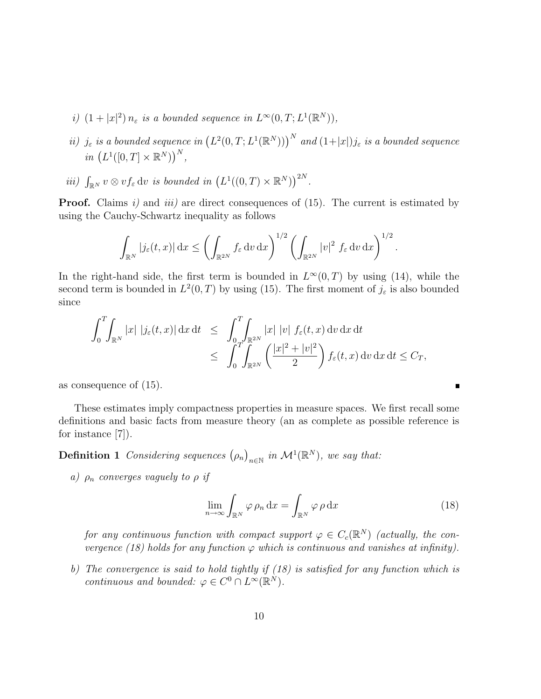- i)  $(1+|x|^2)n_{\varepsilon}$  is a bounded sequence in  $L^{\infty}(0,T;L^1(\mathbb{R}^N)),$
- *ii*)  $j_{\varepsilon}$  is a bounded sequence in  $(L^2(0,T;L^1(\mathbb{R}^N)))^N$  and  $(1+|x|)j_{\varepsilon}$  is a bounded sequence in  $(L^1([0,T]\times\mathbb{R}^N))^N$ ,
- iii)  $\int_{\mathbb{R}^N} v \otimes v f_{\varepsilon} \, \mathrm{d}v$  is bounded in  $(L^1((0,T) \times \mathbb{R}^N))^{2N}$ .

**Proof.** Claims  $i$ ) and  $iii$ ) are direct consequences of (15). The current is estimated by using the Cauchy-Schwartz inequality as follows

$$
\int_{\mathbb{R}^N} |j_{\varepsilon}(t,x)| \,dx \le \left(\int_{\mathbb{R}^{2N}} f_{\varepsilon} \,dv \,dx\right)^{1/2} \left(\int_{\mathbb{R}^{2N}} |v|^2 f_{\varepsilon} \,dv \,dx\right)^{1/2}.
$$

In the right-hand side, the first term is bounded in  $L^{\infty}(0,T)$  by using (14), while the second term is bounded in  $L^2(0,T)$  by using (15). The first moment of  $j_{\varepsilon}$  is also bounded since

$$
\int_0^T \int_{\mathbb{R}^N} |x| |j_{\varepsilon}(t,x)| \,dx \,dt \leq \int_0^T \int_{\mathbb{R}^{2N}} |x| |v| |f_{\varepsilon}(t,x) \,dv \,dx \,dt
$$
  

$$
\leq \int_0^T \int_{\mathbb{R}^{2N}} \left( \frac{|x|^2 + |v|^2}{2} \right) f_{\varepsilon}(t,x) \,dv \,dx \,dt \leq C_T,
$$

as consequence of (15).

These estimates imply compactness properties in measure spaces. We first recall some definitions and basic facts from measure theory (an as complete as possible reference is for instance [7]).

**Definition 1** Considering sequences  $(\rho_n)_{n \in \mathbb{N}}$  in  $\mathcal{M}^1(\mathbb{R}^N)$ , we say that:

a)  $\rho_n$  converges vaguely to  $\rho$  if

$$
\lim_{n \to \infty} \int_{\mathbb{R}^N} \varphi \rho_n \, \mathrm{d}x = \int_{\mathbb{R}^N} \varphi \rho \, \mathrm{d}x \tag{18}
$$

 $\blacksquare$ 

for any continuous function with compact support  $\varphi \in C_c(\mathbb{R}^N)$  (actually, the convergence (18) holds for any function  $\varphi$  which is continuous and vanishes at infinity).

b) The convergence is said to hold tightly if (18) is satisfied for any function which is continuous and bounded:  $\varphi \in C^0 \cap L^\infty(\mathbb{R}^N)$ .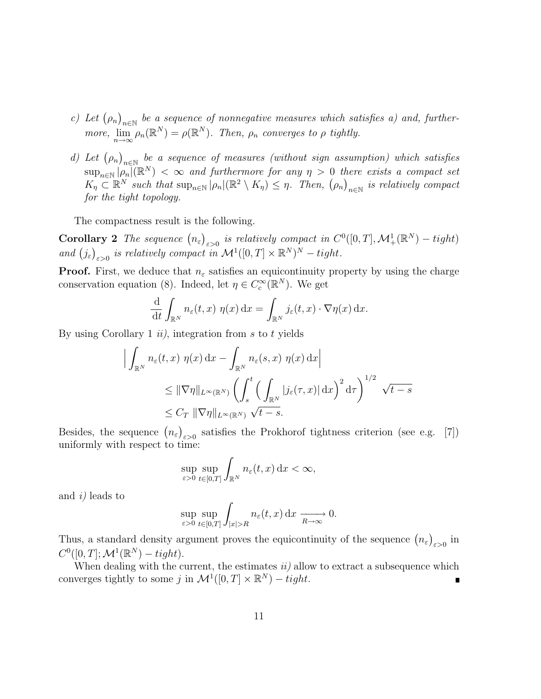- c) Let  $(\rho_n)_{n\in\mathbb{N}}$  be a sequence of nonnegative measures which satisfies a) and, furthermore,  $\lim_{n\to\infty} \rho_n(\mathbb{R}^N) = \rho(\mathbb{R}^N)$ . Then,  $\rho_n$  converges to  $\rho$  tightly.
- d) Let  $(\rho_n)_{n\in\mathbb{N}}$  be a sequence of measures (without sign assumption) which satisfies  $\sup_{n\in\mathbb{N}}|\widehat{\rho_n}|(\mathbb{R}^N)<\infty$  and furthermore for any  $\eta>0$  there exists a compact set  $K_{\eta} \subset \mathbb{R}^N$  such that  $\sup_{n \in \mathbb{N}} |\rho_n|(\mathbb{R}^2 \setminus K_{\eta}) \leq \eta$ . Then,  $(\rho_n)_{n \in \mathbb{N}}$  is relatively compact for the tight topology.

The compactness result is the following.

**Corollary 2** The sequence  $(n_{\varepsilon})_{\varepsilon>0}$  is relatively compact in  $C^0([0,T],\mathcal{M}^1_+(\mathbb{R}^N) - tight)$ and  $(j_{\varepsilon})_{\varepsilon>0}$  is relatively compact in  $\mathcal{M}^1([0,T] \times \mathbb{R}^N)^N - tight.$ 

**Proof.** First, we deduce that  $n_{\varepsilon}$  satisfies an equicontinuity property by using the charge conservation equation (8). Indeed, let  $\eta \in C_c^{\infty}(\mathbb{R}^N)$ . We get

$$
\frac{\mathrm{d}}{\mathrm{d}t} \int_{\mathbb{R}^N} n_{\varepsilon}(t,x) \eta(x) \, \mathrm{d}x = \int_{\mathbb{R}^N} j_{\varepsilon}(t,x) \cdot \nabla \eta(x) \, \mathrm{d}x.
$$

By using Corollary 1  $ii$ , integration from s to t yields

$$
\left| \int_{\mathbb{R}^N} n_{\varepsilon}(t, x) \eta(x) dx - \int_{\mathbb{R}^N} n_{\varepsilon}(s, x) \eta(x) dx \right|
$$
  
\n
$$
\leq \|\nabla \eta\|_{L^{\infty}(\mathbb{R}^N)} \left( \int_s^t \left( \int_{\mathbb{R}^N} |j_{\varepsilon}(\tau, x)| dx \right)^2 d\tau \right)^{1/2} \sqrt{t - s}
$$
  
\n
$$
\leq C_T \|\nabla \eta\|_{L^{\infty}(\mathbb{R}^N)} \sqrt{t - s}.
$$

Besides, the sequence  $(n_{\varepsilon})_{\varepsilon>0}$  satisfies the Prokhorof tightness criterion (see e.g. [7]) uniformly with respect to time:

$$
\sup_{\varepsilon>0}\sup_{t\in[0,T]}\int_{\mathbb{R}^N}n_{\varepsilon}(t,x)\,\mathrm{d}x<\infty,
$$

and i) leads to

$$
\sup_{\varepsilon>0}\sup_{t\in[0,T]}\int_{|x|>R}n_{\varepsilon}(t,x)\,\mathrm{d}x\xrightarrow[R\to\infty]{}0.
$$

Thus, a standard density argument proves the equicontinuity of the sequence  $(n_{\varepsilon})_{\varepsilon>0}$  in  $C^0([0,T];\mathcal{M}^1(\mathbb{R}^N) - tight).$ 

When dealing with the current, the estimates  $ii)$  allow to extract a subsequence which converges tightly to some j in  $\mathcal{M}^1([0,T] \times \mathbb{R}^N) - tight.$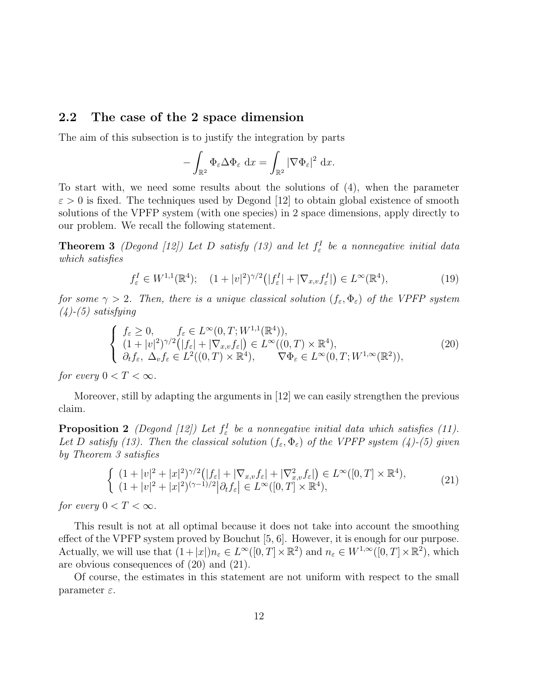#### 2.2 The case of the 2 space dimension

The aim of this subsection is to justify the integration by parts

$$
-\int_{\mathbb{R}^2} \Phi_{\varepsilon} \Delta \Phi_{\varepsilon} dx = \int_{\mathbb{R}^2} |\nabla \Phi_{\varepsilon}|^2 dx.
$$

To start with, we need some results about the solutions of (4), when the parameter  $\varepsilon > 0$  is fixed. The techniques used by Degond [12] to obtain global existence of smooth solutions of the VPFP system (with one species) in 2 space dimensions, apply directly to our problem. We recall the following statement.

**Theorem 3** (Degond [12]) Let D satisfy (13) and let  $f^I_\varepsilon$  be a nonnegative initial data which satisfies

$$
f_{\varepsilon}^{I} \in W^{1,1}(\mathbb{R}^{4}); \quad (1+|v|^{2})^{\gamma/2}(|f_{\varepsilon}^{I}|+|\nabla_{x,v}f_{\varepsilon}^{I}|) \in L^{\infty}(\mathbb{R}^{4}), \tag{19}
$$

for some  $\gamma > 2$ . Then, there is a unique classical solution  $(f_{\varepsilon}, \Phi_{\varepsilon})$  of the VPFP system  $(4)$ - $(5)$  satisfying

$$
\begin{cases}\nf_{\varepsilon} \geq 0, & f_{\varepsilon} \in L^{\infty}(0, T; W^{1,1}(\mathbb{R}^{4})), \\
(1+|v|^{2})^{\gamma/2}(|f_{\varepsilon}|+|\nabla_{x,v}f_{\varepsilon}|) \in L^{\infty}((0, T) \times \mathbb{R}^{4}), \\
\partial_{t}f_{\varepsilon}, \Delta_{v}f_{\varepsilon} \in L^{2}((0, T) \times \mathbb{R}^{4}), & \nabla \Phi_{\varepsilon} \in L^{\infty}(0, T; W^{1,\infty}(\mathbb{R}^{2})),\n\end{cases}
$$
\n(20)

for every  $0 < T < \infty$ .

Moreover, still by adapting the arguments in [12] we can easily strengthen the previous claim.

**Proposition 2** (Degond [12]) Let  $f^I_\varepsilon$  be a nonnegative initial data which satisfies (11). Let D satisfy (13). Then the classical solution  $(f_{\varepsilon}, \Phi_{\varepsilon})$  of the VPFP system (4)-(5) given by Theorem 3 satisfies

$$
\begin{cases}\n(1+|v|^2+|x|^2)^{\gamma/2}\big(|f_{\varepsilon}|+|\nabla_{x,v}f_{\varepsilon}|+|\nabla_{x,v}^2f_{\varepsilon}|\big) \in L^{\infty}([0,T] \times \mathbb{R}^4),\\ \n(1+|v|^2+|x|^2)^{(\gamma-1)/2}\big|\partial_t f_{\varepsilon}\big| \in L^{\infty}([0,T] \times \mathbb{R}^4),\n\end{cases}
$$
\n(21)

for every  $0 < T < \infty$ .

This result is not at all optimal because it does not take into account the smoothing effect of the VPFP system proved by Bouchut [5, 6]. However, it is enough for our purpose. Actually, we will use that  $(1+|x|)n_{\varepsilon} \in L^{\infty}([0,T] \times \mathbb{R}^2)$  and  $n_{\varepsilon} \in W^{1,\infty}([0,T] \times \mathbb{R}^2)$ , which are obvious consequences of (20) and (21).

Of course, the estimates in this statement are not uniform with respect to the small parameter  $\varepsilon$ .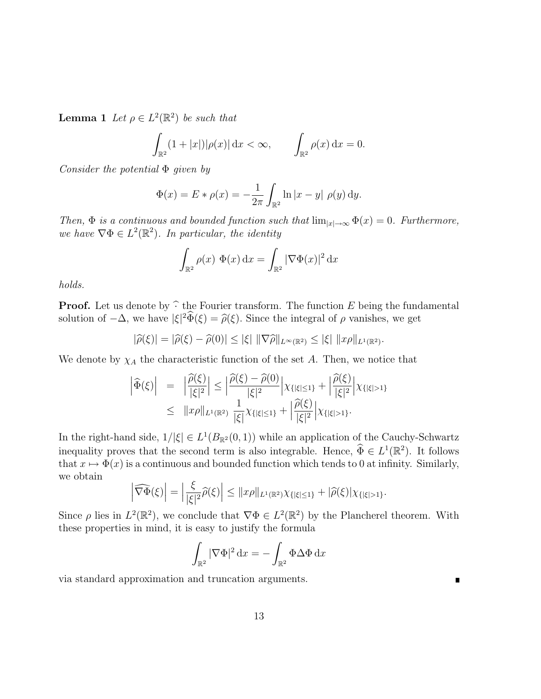**Lemma 1** Let  $\rho \in L^2(\mathbb{R}^2)$  be such that

$$
\int_{\mathbb{R}^2} (1+|x|)|\rho(x)| \,dx < \infty, \qquad \int_{\mathbb{R}^2} \rho(x) \,dx = 0.
$$

Consider the potential  $\Phi$  given by

$$
\Phi(x) = E * \rho(x) = -\frac{1}{2\pi} \int_{\mathbb{R}^2} \ln|x - y| \, \rho(y) \, dy.
$$

Then,  $\Phi$  is a continuous and bounded function such that  $\lim_{|x|\to\infty} \Phi(x) = 0$ . Furthermore, we have  $\nabla \Phi \in L^2(\mathbb{R}^2)$ . In particular, the identity

$$
\int_{\mathbb{R}^2} \rho(x) \Phi(x) dx = \int_{\mathbb{R}^2} |\nabla \Phi(x)|^2 dx
$$

holds.

**Proof.** Let us denote by  $\hat{\cdot}$  the Fourier transform. The function E being the fundamental solution of  $-\Delta$ , we have  $|\xi|^2 \tilde{\Phi}(\xi) = \tilde{\rho}(\xi)$ . Since the integral of  $\rho$  vanishes, we get

$$
|\widehat{\rho}(\xi)| = |\widehat{\rho}(\xi) - \widehat{\rho}(0)| \leq |\xi| \|\nabla \widehat{\rho}\|_{L^{\infty}(\mathbb{R}^2)} \leq |\xi| \, \|x\rho\|_{L^1(\mathbb{R}^2)}.
$$

We denote by  $\chi_A$  the characteristic function of the set A. Then, we notice that

$$
\left| \widehat{\Phi}(\xi) \right| = \left| \frac{\widehat{\rho}(\xi)}{|\xi|^2} \right| \le \left| \frac{\widehat{\rho}(\xi) - \widehat{\rho}(0)}{|\xi|^2} \right| \chi_{\{|\xi| \le 1\}} + \left| \frac{\widehat{\rho}(\xi)}{|\xi|^2} \right| \chi_{\{|\xi| > 1\}} \leq \|x\rho\|_{L^1(\mathbb{R}^2)} \frac{1}{|\xi|} \chi_{\{|\xi| \le 1\}} + \left| \frac{\widehat{\rho}(\xi)}{|\xi|^2} \right| \chi_{\{|\xi| > 1\}}.
$$

In the right-hand side,  $1/|\xi| \in L^1(B_{\mathbb{R}^2}(0,1))$  while an application of the Cauchy-Schwartz inequality proves that the second term is also integrable. Hence,  $\widehat{\Phi} \in L^1(\mathbb{R}^2)$ . It follows that  $x \mapsto \Phi(x)$  is a continuous and bounded function which tends to 0 at infinity. Similarly, we obtain

$$
\left|\widehat{\nabla\Phi}(\xi)\right| = \left|\frac{\xi}{|\xi|^2}\widehat{\rho}(\xi)\right| \leq \|x\rho\|_{L^1(\mathbb{R}^2)}\chi_{\{|\xi|\leq 1\}} + |\widehat{\rho}(\xi)|\chi_{\{|\xi|> 1\}}.
$$

Since  $\rho$  lies in  $L^2(\mathbb{R}^2)$ , we conclude that  $\nabla \Phi \in L^2(\mathbb{R}^2)$  by the Plancherel theorem. With these properties in mind, it is easy to justify the formula

$$
\int_{\mathbb{R}^2} |\nabla \Phi|^2 \, \mathrm{d}x = -\int_{\mathbb{R}^2} \Phi \Delta \Phi \, \mathrm{d}x
$$

via standard approximation and truncation arguments.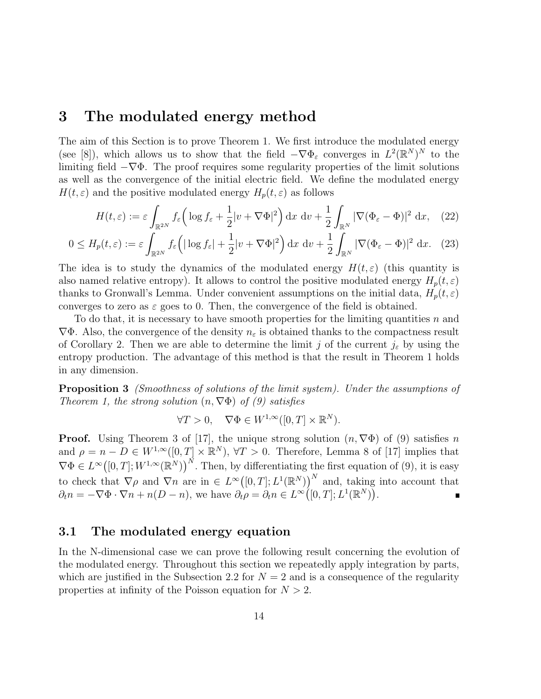### 3 The modulated energy method

The aim of this Section is to prove Theorem 1. We first introduce the modulated energy (see [8]), which allows us to show that the field  $-\nabla \Phi_{\varepsilon}$  converges in  $L^2(\mathbb{R}^N)^N$  to the limiting field  $-\nabla\Phi$ . The proof requires some regularity properties of the limit solutions as well as the convergence of the initial electric field. We define the modulated energy  $H(t,\varepsilon)$  and the positive modulated energy  $H_p(t,\varepsilon)$  as follows

$$
H(t,\varepsilon) := \varepsilon \int_{\mathbb{R}^{2N}} f_{\varepsilon} \left( \log f_{\varepsilon} + \frac{1}{2} |v + \nabla \Phi|^2 \right) dx \, dv + \frac{1}{2} \int_{\mathbb{R}^N} |\nabla (\Phi_{\varepsilon} - \Phi)|^2 \, dx, \tag{22}
$$

$$
0 \le H_p(t,\varepsilon) := \varepsilon \int_{\mathbb{R}^{2N}} f_{\varepsilon} \left( |\log f_{\varepsilon}| + \frac{1}{2} |v + \nabla \Phi|^2 \right) dx \, dv + \frac{1}{2} \int_{\mathbb{R}^N} |\nabla (\Phi_{\varepsilon} - \Phi)|^2 \, dx. \tag{23}
$$

The idea is to study the dynamics of the modulated energy  $H(t,\varepsilon)$  (this quantity is also named relative entropy). It allows to control the positive modulated energy  $H_p(t, \varepsilon)$ thanks to Gronwall's Lemma. Under convenient assumptions on the initial data,  $H_p(t, \varepsilon)$ converges to zero as  $\varepsilon$  goes to 0. Then, the convergence of the field is obtained.

To do that, it is necessary to have smooth properties for the limiting quantities  $n$  and  $\nabla\Phi$ . Also, the convergence of the density  $n_{\varepsilon}$  is obtained thanks to the compactness result of Corollary 2. Then we are able to determine the limit j of the current  $j_{\varepsilon}$  by using the entropy production. The advantage of this method is that the result in Theorem 1 holds in any dimension.

Proposition 3 (Smoothness of solutions of the limit system). Under the assumptions of Theorem 1, the strong solution  $(n, \nabla \Phi)$  of (9) satisfies

$$
\forall T > 0, \quad \nabla \Phi \in W^{1,\infty}([0,T] \times \mathbb{R}^N).
$$

**Proof.** Using Theorem 3 of [17], the unique strong solution  $(n, \nabla \Phi)$  of (9) satisfies n and  $\rho = n - D \in W^{1,\infty}([0,T] \times \mathbb{R}^N)$ ,  $\forall T > 0$ . Therefore, Lemma 8 of [17] implies that  $\nabla \Phi \in L^{\infty}([0,T];W^{1,\infty}(\mathbb{R}^N))^N$ . Then, by differentiating the first equation of (9), it is easy to check that  $\nabla \rho$  and  $\nabla n$  are in  $\in L^{\infty}([0,T];L^{1}(\mathbb{R}^{N}))^{N}$  and, taking into account that  $\partial_t n = -\nabla \Phi \cdot \nabla n + n(D - n)$ , we have  $\partial_t \rho = \partial_t n \in L^\infty([0, T]; L^1(\mathbb{R}^N))$ .

#### 3.1 The modulated energy equation

In the N-dimensional case we can prove the following result concerning the evolution of the modulated energy. Throughout this section we repeatedly apply integration by parts, which are justified in the Subsection 2.2 for  $N = 2$  and is a consequence of the regularity properties at infinity of the Poisson equation for  $N > 2$ .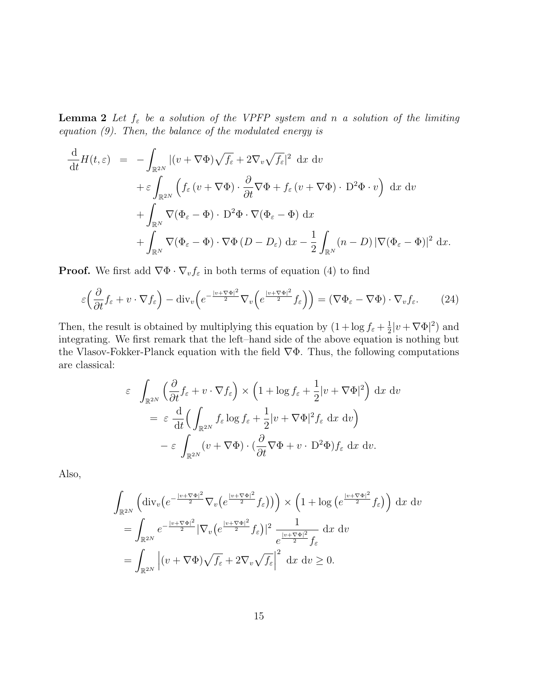**Lemma 2** Let  $f_{\varepsilon}$  be a solution of the VPFP system and n a solution of the limiting equation  $(9)$ . Then, the balance of the modulated energy is

$$
\frac{\mathrm{d}}{\mathrm{d}t}H(t,\varepsilon) = -\int_{\mathbb{R}^{2N}} |(v + \nabla \Phi)\sqrt{f_{\varepsilon}} + 2\nabla_{v}\sqrt{f_{\varepsilon}}|^{2} \mathrm{d}x \mathrm{d}v \n+ \varepsilon \int_{\mathbb{R}^{2N}} \left( f_{\varepsilon}(v + \nabla \Phi) \cdot \frac{\partial}{\partial t} \nabla \Phi + f_{\varepsilon}(v + \nabla \Phi) \cdot \mathbf{D}^{2} \Phi \cdot v \right) \mathrm{d}x \mathrm{d}v \n+ \int_{\mathbb{R}^{N}} \nabla (\Phi_{\varepsilon} - \Phi) \cdot \mathbf{D}^{2} \Phi \cdot \nabla (\Phi_{\varepsilon} - \Phi) \mathrm{d}x \n+ \int_{\mathbb{R}^{N}} \nabla (\Phi_{\varepsilon} - \Phi) \cdot \nabla \Phi (D - D_{\varepsilon}) \mathrm{d}x - \frac{1}{2} \int_{\mathbb{R}^{N}} (n - D) |\nabla (\Phi_{\varepsilon} - \Phi)|^{2} \mathrm{d}x.
$$

**Proof.** We first add  $\nabla \Phi \cdot \nabla_v f_\varepsilon$  in both terms of equation (4) to find

$$
\varepsilon \left( \frac{\partial}{\partial t} f_{\varepsilon} + v \cdot \nabla f_{\varepsilon} \right) - \text{div}_{v} \left( e^{-\frac{|v + \nabla \Phi|^{2}}{2}} \nabla_{v} \left( e^{\frac{|v + \nabla \Phi|^{2}}{2}} f_{\varepsilon} \right) \right) = \left( \nabla \Phi_{\varepsilon} - \nabla \Phi \right) \cdot \nabla_{v} f_{\varepsilon}.
$$
 (24)

Then, the result is obtained by multiplying this equation by  $(1 + \log f_{\varepsilon} + \frac{1}{2})$  $\frac{1}{2}|v+\nabla\Phi|^2$  and integrating. We first remark that the left–hand side of the above equation is nothing but the Vlasov-Fokker-Planck equation with the field  $\nabla\Phi$ . Thus, the following computations are classical:

$$
\varepsilon \int_{\mathbb{R}^{2N}} \left( \frac{\partial}{\partial t} f_{\varepsilon} + v \cdot \nabla f_{\varepsilon} \right) \times \left( 1 + \log f_{\varepsilon} + \frac{1}{2} |v + \nabla \Phi|^2 \right) dx dv
$$
  

$$
= \varepsilon \frac{d}{dt} \left( \int_{\mathbb{R}^{2N}} f_{\varepsilon} \log f_{\varepsilon} + \frac{1}{2} |v + \nabla \Phi|^2 f_{\varepsilon} dx dv \right)
$$
  

$$
- \varepsilon \int_{\mathbb{R}^{2N}} (v + \nabla \Phi) \cdot \left( \frac{\partial}{\partial t} \nabla \Phi + v \cdot D^2 \Phi \right) f_{\varepsilon} dx dv.
$$

Also,

$$
\int_{\mathbb{R}^{2N}} \left( \operatorname{div}_{v} \left( e^{-\frac{|v + \nabla \Phi|^{2}}{2}} \nabla_{v} \left( e^{\frac{|v + \nabla \Phi|^{2}}{2}} f_{\varepsilon} \right) \right) \right) \times \left( 1 + \log \left( e^{\frac{|v + \nabla \Phi|^{2}}{2}} f_{\varepsilon} \right) \right) \, \mathrm{d}x \, \mathrm{d}v
$$
\n
$$
= \int_{\mathbb{R}^{2N}} e^{-\frac{|v + \nabla \Phi|^{2}}{2}} |\nabla_{v} \left( e^{\frac{|v + \nabla \Phi|^{2}}{2}} f_{\varepsilon} \right)|^{2} \, \frac{1}{e^{\frac{|v + \nabla \Phi|^{2}}{2}} f_{\varepsilon}} \, \mathrm{d}x \, \mathrm{d}v
$$
\n
$$
= \int_{\mathbb{R}^{2N}} \left| (v + \nabla \Phi) \sqrt{f_{\varepsilon}} + 2 \nabla_{v} \sqrt{f_{\varepsilon}} \right|^{2} \, \mathrm{d}x \, \mathrm{d}v \ge 0.
$$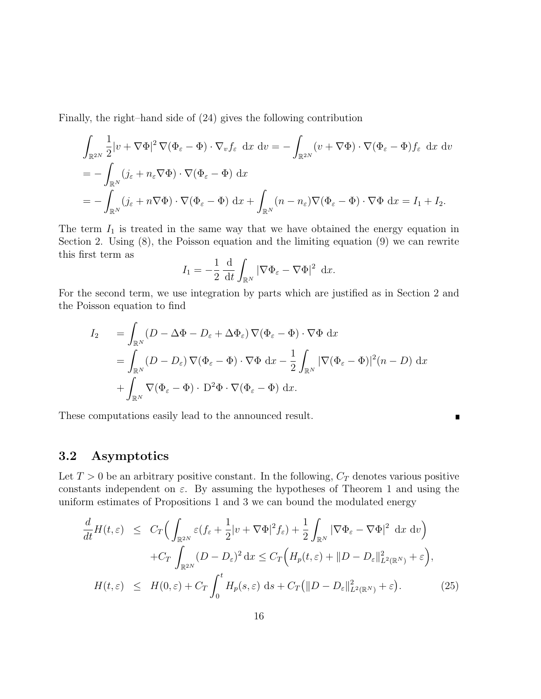Finally, the right–hand side of (24) gives the following contribution

$$
\int_{\mathbb{R}^{2N}} \frac{1}{2} |v + \nabla \Phi|^2 \nabla (\Phi_{\varepsilon} - \Phi) \cdot \nabla_v f_{\varepsilon} \, dx \, dv = - \int_{\mathbb{R}^{2N}} (v + \nabla \Phi) \cdot \nabla (\Phi_{\varepsilon} - \Phi) f_{\varepsilon} \, dx \, dv
$$
  
\n
$$
= - \int_{\mathbb{R}^N} (j_{\varepsilon} + n_{\varepsilon} \nabla \Phi) \cdot \nabla (\Phi_{\varepsilon} - \Phi) \, dx
$$
  
\n
$$
= - \int_{\mathbb{R}^N} (j_{\varepsilon} + n \nabla \Phi) \cdot \nabla (\Phi_{\varepsilon} - \Phi) \, dx + \int_{\mathbb{R}^N} (n - n_{\varepsilon}) \nabla (\Phi_{\varepsilon} - \Phi) \cdot \nabla \Phi \, dx = I_1 + I_2.
$$

The term  $I_1$  is treated in the same way that we have obtained the energy equation in Section 2. Using (8), the Poisson equation and the limiting equation (9) we can rewrite this first term as

$$
I_1 = -\frac{1}{2} \frac{\mathrm{d}}{\mathrm{d}t} \int_{\mathbb{R}^N} |\nabla \Phi_{\varepsilon} - \nabla \Phi|^2 \ \mathrm{d}x.
$$

For the second term, we use integration by parts which are justified as in Section 2 and the Poisson equation to find

$$
I_2 = \int_{\mathbb{R}^N} (D - \Delta \Phi - D_{\varepsilon} + \Delta \Phi_{\varepsilon}) \nabla (\Phi_{\varepsilon} - \Phi) \cdot \nabla \Phi \, dx
$$
  
= 
$$
\int_{\mathbb{R}^N} (D - D_{\varepsilon}) \nabla (\Phi_{\varepsilon} - \Phi) \cdot \nabla \Phi \, dx - \frac{1}{2} \int_{\mathbb{R}^N} |\nabla (\Phi_{\varepsilon} - \Phi)|^2 (n - D) \, dx
$$
  
+ 
$$
\int_{\mathbb{R}^N} \nabla (\Phi_{\varepsilon} - \Phi) \cdot D^2 \Phi \cdot \nabla (\Phi_{\varepsilon} - \Phi) \, dx.
$$

П

These computations easily lead to the announced result.

### 3.2 Asymptotics

Let  $T > 0$  be an arbitrary positive constant. In the following,  $C_T$  denotes various positive constants independent on  $\varepsilon$ . By assuming the hypotheses of Theorem 1 and using the uniform estimates of Propositions 1 and 3 we can bound the modulated energy

$$
\frac{d}{dt}H(t,\varepsilon) \leq C_T \Big( \int_{\mathbb{R}^{2N}} \varepsilon (f_{\varepsilon} + \frac{1}{2}|v + \nabla \Phi|^2 f_{\varepsilon}) + \frac{1}{2} \int_{\mathbb{R}^N} |\nabla \Phi_{\varepsilon} - \nabla \Phi|^2 dx dv \Big) \n+ C_T \int_{\mathbb{R}^{2N}} (D - D_{\varepsilon})^2 dx \leq C_T \Big( H_p(t,\varepsilon) + ||D - D_{\varepsilon}||^2_{L^2(\mathbb{R}^N)} + \varepsilon \Big), \nH(t,\varepsilon) \leq H(0,\varepsilon) + C_T \int_0^t H_p(s,\varepsilon) ds + C_T (||D - D_{\varepsilon}||^2_{L^2(\mathbb{R}^N)} + \varepsilon).
$$
\n(25)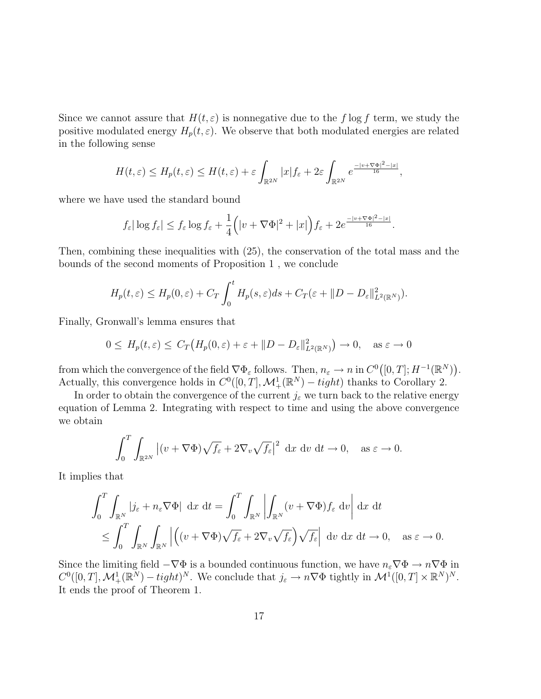Since we cannot assure that  $H(t,\varepsilon)$  is nonnegative due to the f log f term, we study the positive modulated energy  $H_p(t, \varepsilon)$ . We observe that both modulated energies are related in the following sense

$$
H(t,\varepsilon) \leq H_p(t,\varepsilon) \leq H(t,\varepsilon) + \varepsilon \int_{\mathbb{R}^{2N}} |x| f_{\varepsilon} + 2\varepsilon \int_{\mathbb{R}^{2N}} e^{\frac{-|v + \nabla \Phi|^2 - |x|}{16}},
$$

where we have used the standard bound

$$
f_{\varepsilon}|\log f_{\varepsilon}| \le f_{\varepsilon}\log f_{\varepsilon} + \frac{1}{4} (|v + \nabla \Phi|^2 + |x|) f_{\varepsilon} + 2e^{\frac{-|v + \nabla \Phi|^2 - |x|}{16}}.
$$

Then, combining these inequalities with (25), the conservation of the total mass and the bounds of the second moments of Proposition 1 , we conclude

$$
H_p(t,\varepsilon) \le H_p(0,\varepsilon) + C_T \int_0^t H_p(s,\varepsilon)ds + C_T(\varepsilon + ||D - D_{\varepsilon}||^2_{L^2(\mathbb{R}^N)}).
$$

Finally, Gronwall's lemma ensures that

$$
0 \le H_p(t,\varepsilon) \le C_T\big(H_p(0,\varepsilon) + \varepsilon + ||D - D_{\varepsilon}||^2_{L^2(\mathbb{R}^N)}\big) \to 0, \quad \text{as } \varepsilon \to 0
$$

from which the convergence of the field  $\nabla \Phi_{\varepsilon}$  follows. Then,  $n_{\varepsilon} \to n$  in  $C^{0}([0, T]; H^{-1}(\mathbb{R}^{N}))$ . Actually, this convergence holds in  $C^0([0,T], \mathcal{M}^1_+(\mathbb{R}^N) - tight)$  thanks to Corollary 2.

In order to obtain the convergence of the current  $j_{\varepsilon}$  we turn back to the relative energy equation of Lemma 2. Integrating with respect to time and using the above convergence we obtain

$$
\int_0^T \int_{\mathbb{R}^{2N}} \left| (v + \nabla \Phi) \sqrt{f_\varepsilon} + 2\nabla_v \sqrt{f_\varepsilon} \right|^2 dx dv dt \to 0, \text{ as } \varepsilon \to 0.
$$

It implies that

$$
\int_0^T \int_{\mathbb{R}^N} |j_{\varepsilon} + n_{\varepsilon} \nabla \Phi| \, dx \, dt = \int_0^T \int_{\mathbb{R}^N} \left| \int_{\mathbb{R}^N} (v + \nabla \Phi) f_{\varepsilon} \, dv \right| dx \, dt
$$
  

$$
\leq \int_0^T \int_{\mathbb{R}^N} \int_{\mathbb{R}^N} \left| \left( (v + \nabla \Phi) \sqrt{f_{\varepsilon}} + 2 \nabla_v \sqrt{f_{\varepsilon}} \right) \sqrt{f_{\varepsilon}} \right| \, dv \, dx \, dt \to 0, \quad \text{as } \varepsilon \to 0.
$$

Since the limiting field  $-\nabla\Phi$  is a bounded continuous function, we have  $n_{\varepsilon}\nabla\Phi \to n\nabla\Phi$  in  $C^0([0,T], \mathcal{M}^1_+(\mathbb{R}^N) - tight)^N$ . We conclude that  $j_{\varepsilon} \to n \nabla \Phi$  tightly in  $\mathcal{M}^1([0,T] \times \mathbb{R}^N)^N$ . It ends the proof of Theorem 1.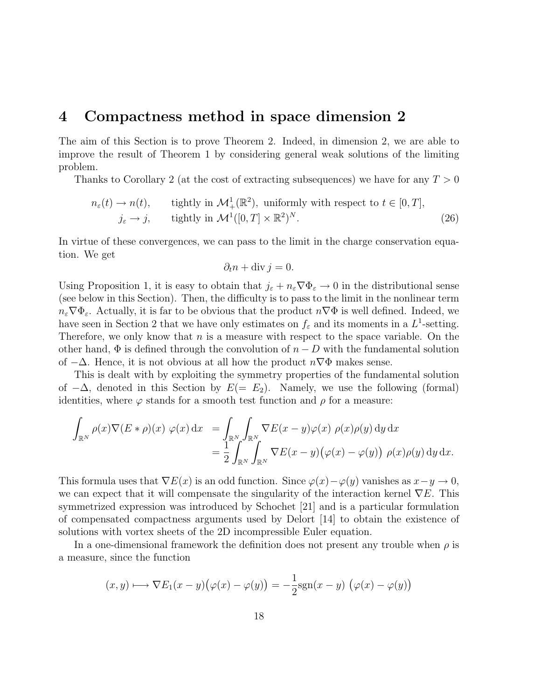### 4 Compactness method in space dimension 2

The aim of this Section is to prove Theorem 2. Indeed, in dimension 2, we are able to improve the result of Theorem 1 by considering general weak solutions of the limiting problem.

Thanks to Corollary 2 (at the cost of extracting subsequences) we have for any  $T > 0$ 

$$
n_{\varepsilon}(t) \to n(t), \qquad \text{tightly in } \mathcal{M}^1_+(\mathbb{R}^2), \text{ uniformly with respect to } t \in [0, T],
$$
  

$$
j_{\varepsilon} \to j, \qquad \text{tightly in } \mathcal{M}^1([0, T] \times \mathbb{R}^2)^N. \tag{26}
$$

In virtue of these convergences, we can pass to the limit in the charge conservation equation. We get

$$
\partial_t n + \operatorname{div} j = 0.
$$

Using Proposition 1, it is easy to obtain that  $j_{\varepsilon} + n_{\varepsilon} \nabla \Phi_{\varepsilon} \to 0$  in the distributional sense (see below in this Section). Then, the difficulty is to pass to the limit in the nonlinear term  $n_{\varepsilon} \nabla \Phi_{\varepsilon}$ . Actually, it is far to be obvious that the product  $n \nabla \Phi$  is well defined. Indeed, we have seen in Section 2 that we have only estimates on  $f_{\varepsilon}$  and its moments in a  $L^1$ -setting. Therefore, we only know that  $n$  is a measure with respect to the space variable. On the other hand,  $\Phi$  is defined through the convolution of  $n - D$  with the fundamental solution of  $-\Delta$ . Hence, it is not obvious at all how the product  $n\nabla\Phi$  makes sense.

This is dealt with by exploiting the symmetry properties of the fundamental solution of  $-\Delta$ , denoted in this Section by  $E(= E_2)$ . Namely, we use the following (formal) identities, where  $\varphi$  stands for a smooth test function and  $\rho$  for a measure:

$$
\int_{\mathbb{R}^N} \rho(x) \nabla (E * \rho)(x) \varphi(x) dx = \int_{\mathbb{R}^N} \int_{\mathbb{R}^N} \nabla E(x - y) \varphi(x) \rho(x) \rho(y) dy dx
$$
  
= 
$$
\frac{1}{2} \int_{\mathbb{R}^N} \int_{\mathbb{R}^N} \nabla E(x - y) (\varphi(x) - \varphi(y)) \rho(x) \rho(y) dy dx.
$$

This formula uses that  $\nabla E(x)$  is an odd function. Since  $\varphi(x)-\varphi(y)$  vanishes as  $x-y\to 0$ , we can expect that it will compensate the singularity of the interaction kernel  $\nabla E$ . This symmetrized expression was introduced by Schochet [21] and is a particular formulation of compensated compactness arguments used by Delort [14] to obtain the existence of solutions with vortex sheets of the 2D incompressible Euler equation.

In a one-dimensional framework the definition does not present any trouble when  $\rho$  is a measure, since the function

$$
(x,y) \longmapsto \nabla E_1(x-y)\big(\varphi(x)-\varphi(y)\big)=-\frac{1}{2}\text{sgn}(x-y)\big(\varphi(x)-\varphi(y)\big)
$$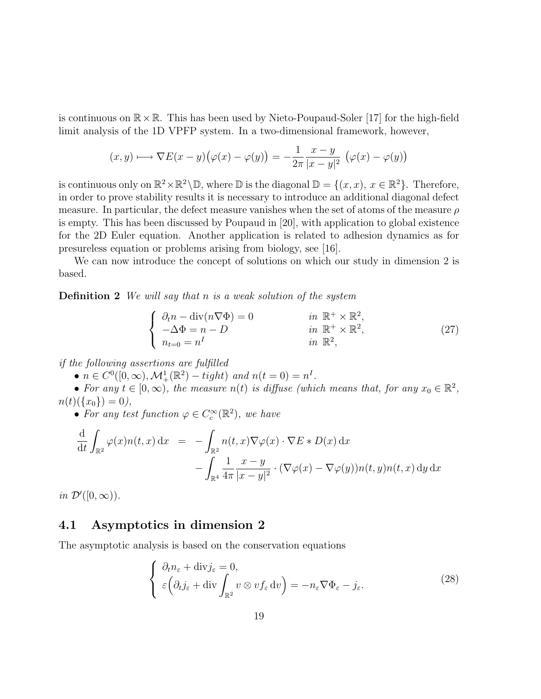is continuous on  $\mathbb{R} \times \mathbb{R}$ . This has been used by Nieto-Poupaud-Soler [17] for the high-field limit analysis of the 1D VPFP system. In a two-dimensional framework, however,

$$
(x,y)\longmapsto \nabla E(x-y)\big(\varphi(x)-\varphi(y)\big)=-\frac{1}{2\pi}\frac{x-y}{|x-y|^2}\big(\varphi(x)-\varphi(y)\big)
$$

is continuous only on  $\mathbb{R}^2 \times \mathbb{R}^2 \setminus \mathbb{D}$ , where  $\mathbb D$  is the diagonal  $\mathbb D = \{(x, x), x \in \mathbb{R}^2\}$ . Therefore, in order to prove stability results it is necessary to introduce an additional diagonal defect measure. In particular, the defect measure vanishes when the set of atoms of the measure  $\rho$ is empty. This has been discussed by Poupaud in [20], with application to global existence for the 2D Euler equation. Another application is related to adhesion dynamics as for presureless equation or problems arising from biology, see [16].

We can now introduce the concept of solutions on which our study in dimension 2 is based.

**Definition 2** We will say that n is a weak solution of the system

$$
\begin{cases}\n\partial_t n - \text{div}(n \nabla \Phi) = 0 & \text{in } \mathbb{R}^+ \times \mathbb{R}^2, \\
-\Delta \Phi = n - D & \text{in } \mathbb{R}^+ \times \mathbb{R}^2, \\
n_{t=0} = n^I & \text{in } \mathbb{R}^2,\n\end{cases}
$$
\n(27)

if the following assertions are fulfilled

•  $n \in C^0([0,\infty), \mathcal{M}^1_+(\mathbb{R}^2) - tight)$  and  $n(t = 0) = n^I$ .

• For any  $t \in [0, \infty)$ , the measure  $n(t)$  is diffuse (which means that, for any  $x_0 \in \mathbb{R}^2$ ,  $n(t)(\{x_0\}) = 0,$ 

• For any test function  $\varphi \in C_c^{\infty}(\mathbb{R}^2)$ , we have

$$
\frac{d}{dt} \int_{\mathbb{R}^2} \varphi(x) n(t, x) dx = - \int_{\mathbb{R}^2} n(t, x) \nabla \varphi(x) \cdot \nabla E * D(x) dx \n- \int_{\mathbb{R}^4} \frac{1}{4\pi} \frac{x - y}{|x - y|^2} \cdot (\nabla \varphi(x) - \nabla \varphi(y)) n(t, y) n(t, x) dy dx
$$

in  $\mathcal{D}'([0,\infty))$ .

#### 4.1 Asymptotics in dimension 2

The asymptotic analysis is based on the conservation equations

$$
\begin{cases} \partial_t n_{\varepsilon} + \text{div} j_{\varepsilon} = 0, \\ \varepsilon \left( \partial_t j_{\varepsilon} + \text{div} \int_{\mathbb{R}^2} v \otimes v f_{\varepsilon} \, \text{d}v \right) = -n_{\varepsilon} \nabla \Phi_{\varepsilon} - j_{\varepsilon}. \end{cases} \tag{28}
$$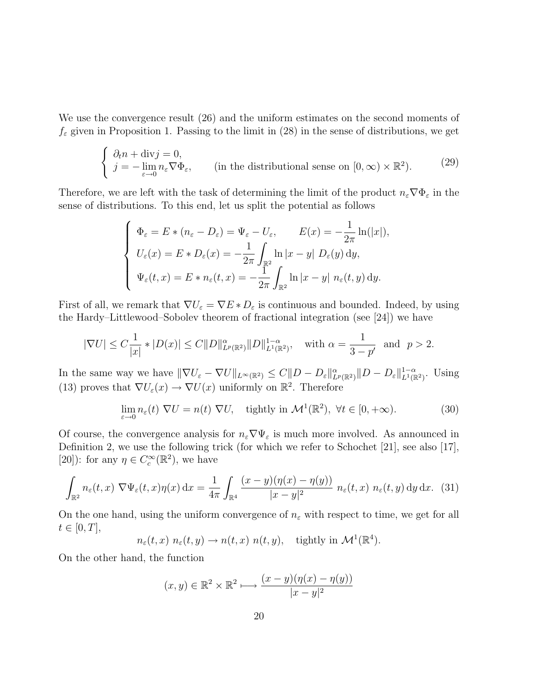We use the convergence result (26) and the uniform estimates on the second moments of  $f_{\varepsilon}$  given in Proposition 1. Passing to the limit in (28) in the sense of distributions, we get

$$
\begin{cases} \n\partial_t n + \text{div} j = 0, \\
j = -\lim_{\varepsilon \to 0} n_\varepsilon \nabla \Phi_\varepsilon, \quad \text{(in the distributional sense on } [0, \infty) \times \mathbb{R}^2). \n\end{cases} \n\tag{29}
$$

Therefore, we are left with the task of determining the limit of the product  $n_{\varepsilon} \nabla \Phi_{\varepsilon}$  in the sense of distributions. To this end, let us split the potential as follows

$$
\begin{cases}\n\Phi_{\varepsilon} = E * (n_{\varepsilon} - D_{\varepsilon}) = \Psi_{\varepsilon} - U_{\varepsilon}, & E(x) = -\frac{1}{2\pi} \ln(|x|), \\
U_{\varepsilon}(x) = E * D_{\varepsilon}(x) = -\frac{1}{2\pi} \int_{\mathbb{R}^2} \ln|x - y| \ D_{\varepsilon}(y) \, dy, \\
\Psi_{\varepsilon}(t, x) = E * n_{\varepsilon}(t, x) = -\frac{1}{2\pi} \int_{\mathbb{R}^2} \ln|x - y| \ n_{\varepsilon}(t, y) \, dy.\n\end{cases}
$$

First of all, we remark that  $\nabla U_{\varepsilon} = \nabla E * D_{\varepsilon}$  is continuous and bounded. Indeed, by using the Hardy–Littlewood–Sobolev theorem of fractional integration (see [24]) we have

$$
|\nabla U| \leq C \frac{1}{|x|} * |D(x)| \leq C ||D||_{L^p(\mathbb{R}^2)}^{\alpha} ||D||_{L^1(\mathbb{R}^2)}^{1-\alpha}, \text{ with } \alpha = \frac{1}{3-p'} \text{ and } p > 2.
$$

In the same way we have  $\|\nabla U_{\varepsilon} - \nabla U\|_{L^{\infty}(\mathbb{R}^2)} \leq C \|D - D_{\varepsilon}\|_{L^p(\mathbb{R}^2)}^{\alpha} \|D - D_{\varepsilon}\|_{L^1(\mathbb{R}^2)}^{1-\alpha}$ . Using (13) proves that  $\nabla U_{\varepsilon}(x) \to \nabla U(x)$  uniformly on  $\mathbb{R}^2$ . Therefore

$$
\lim_{\varepsilon \to 0} n_{\varepsilon}(t) \nabla U = n(t) \nabla U, \quad \text{tightly in } \mathcal{M}^1(\mathbb{R}^2), \ \forall t \in [0, +\infty). \tag{30}
$$

Of course, the convergence analysis for  $n_{\varepsilon} \nabla \Psi_{\varepsilon}$  is much more involved. As announced in Definition 2, we use the following trick (for which we refer to Schochet [21], see also [17], [20]): for any  $\eta \in C_c^{\infty}(\mathbb{R}^2)$ , we have

$$
\int_{\mathbb{R}^2} n_{\varepsilon}(t,x) \nabla \Psi_{\varepsilon}(t,x) \eta(x) dx = \frac{1}{4\pi} \int_{\mathbb{R}^4} \frac{(x-y)(\eta(x) - \eta(y))}{|x-y|^2} n_{\varepsilon}(t,x) n_{\varepsilon}(t,y) dy dx. (31)
$$

On the one hand, using the uniform convergence of  $n_{\varepsilon}$  with respect to time, we get for all  $t \in [0, T],$ 

$$
n_{\varepsilon}(t,x) n_{\varepsilon}(t,y) \to n(t,x) n(t,y),
$$
 tightly in  $\mathcal{M}^1(\mathbb{R}^4)$ .

On the other hand, the function

$$
(x, y) \in \mathbb{R}^2 \times \mathbb{R}^2 \longmapsto \frac{(x - y)(\eta(x) - \eta(y))}{|x - y|^2}
$$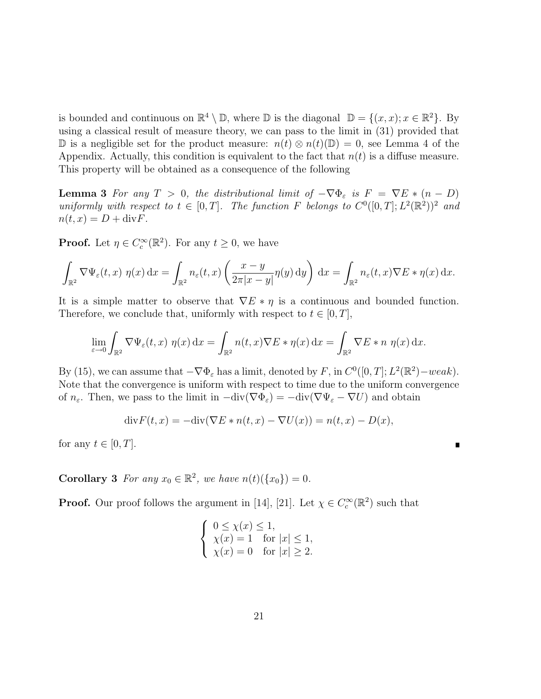is bounded and continuous on  $\mathbb{R}^4 \setminus \mathbb{D}$ , where  $\mathbb{D}$  is the diagonal  $\mathbb{D} = \{(x, x); x \in \mathbb{R}^2\}$ . By using a classical result of measure theory, we can pass to the limit in (31) provided that D is a negligible set for the product measure:  $n(t) \otimes n(t)$ (D) = 0, see Lemma 4 of the Appendix. Actually, this condition is equivalent to the fact that  $n(t)$  is a diffuse measure. This property will be obtained as a consequence of the following

**Lemma 3** For any  $T > 0$ , the distributional limit of  $-\nabla \Phi_{\varepsilon}$  is  $F = \nabla E * (n - D)$ uniformly with respect to  $t \in [0,T]$ . The function F belongs to  $C^0([0,T]; L^2(\mathbb{R}^2))^2$  and  $n(t, x) = D + \text{div} F.$ 

**Proof.** Let  $\eta \in C_c^{\infty}(\mathbb{R}^2)$ . For any  $t \geq 0$ , we have

$$
\int_{\mathbb{R}^2} \nabla \Psi_{\varepsilon}(t,x) \eta(x) dx = \int_{\mathbb{R}^2} n_{\varepsilon}(t,x) \left( \frac{x-y}{2\pi|x-y|} \eta(y) dy \right) dx = \int_{\mathbb{R}^2} n_{\varepsilon}(t,x) \nabla E * \eta(x) dx.
$$

It is a simple matter to observe that  $\nabla E * \eta$  is a continuous and bounded function. Therefore, we conclude that, uniformly with respect to  $t \in [0, T]$ ,

$$
\lim_{\varepsilon \to 0} \int_{\mathbb{R}^2} \nabla \Psi_{\varepsilon}(t, x) \eta(x) dx = \int_{\mathbb{R}^2} n(t, x) \nabla E * \eta(x) dx = \int_{\mathbb{R}^2} \nabla E * n \eta(x) dx.
$$

By (15), we can assume that  $-\nabla \Phi_{\varepsilon}$  has a limit, denoted by F, in  $C^0([0, T]; L^2(\mathbb{R}^2) - weak)$ . Note that the convergence is uniform with respect to time due to the uniform convergence of  $n_{\varepsilon}$ . Then, we pass to the limit in  $-\text{div}(\nabla \Phi_{\varepsilon}) = -\text{div}(\nabla \Psi_{\varepsilon} - \nabla U)$  and obtain

$$
\operatorname{div} F(t, x) = -\operatorname{div} (\nabla E \ast n(t, x) - \nabla U(x)) = n(t, x) - D(x),
$$

 $\blacksquare$ 

for any  $t \in [0, T]$ .

**Corollary 3** For any  $x_0 \in \mathbb{R}^2$ , we have  $n(t)(\{x_0\}) = 0$ .

**Proof.** Our proof follows the argument in [14], [21]. Let  $\chi \in C_c^{\infty}(\mathbb{R}^2)$  such that

$$
\begin{cases} 0 \le \chi(x) \le 1, \\ \chi(x) = 1 \quad \text{for } |x| \le 1, \\ \chi(x) = 0 \quad \text{for } |x| \ge 2. \end{cases}
$$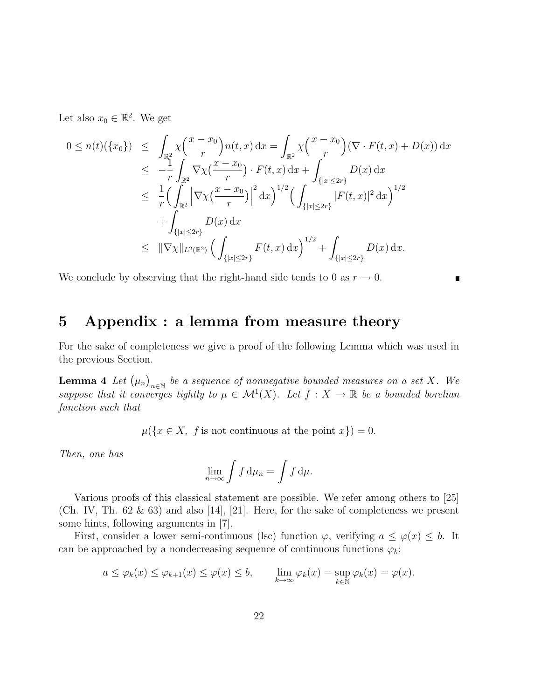Let also  $x_0 \in \mathbb{R}^2$ . We get

$$
0 \leq n(t)(\{x_0\}) \leq \int_{\mathbb{R}^2} \chi\left(\frac{x-x_0}{r}\right) n(t,x) dx = \int_{\mathbb{R}^2} \chi\left(\frac{x-x_0}{r}\right) (\nabla \cdot F(t,x) + D(x)) dx
$$
  
\n
$$
\leq -\frac{1}{r} \int_{\mathbb{R}^2} \nabla \chi\left(\frac{x-x_0}{r}\right) \cdot F(t,x) dx + \int_{\{|x| \leq 2r\}} D(x) dx
$$
  
\n
$$
\leq \frac{1}{r} \Big( \int_{\mathbb{R}^2} \left| \nabla \chi\left(\frac{x-x_0}{r}\right) \right|^2 dx \Big)^{1/2} \Big( \int_{\{|x| \leq 2r\}} |F(t,x)|^2 dx \Big)^{1/2}
$$
  
\n
$$
+ \int_{\{|x| \leq 2r\}} D(x) dx
$$
  
\n
$$
\leq ||\nabla \chi||_{L^2(\mathbb{R}^2)} \Big( \int_{\{|x| \leq 2r\}} F(t,x) dx \Big)^{1/2} + \int_{\{|x| \leq 2r\}} D(x) dx.
$$

We conclude by observing that the right-hand side tends to 0 as  $r \to 0$ .

### 5 Appendix : a lemma from measure theory

For the sake of completeness we give a proof of the following Lemma which was used in the previous Section.

 $\blacksquare$ 

**Lemma 4** Let  $(\mu_n)_{n\in\mathbb{N}}$  be a sequence of nonnegative bounded measures on a set X. We suppose that it converges tightly to  $\mu \in \mathcal{M}^1(X)$ . Let  $f : X \to \mathbb{R}$  be a bounded borelian function such that

 $\mu({x \in X, f \text{ is not continuous at the point } x}) = 0.$ 

Then, one has

$$
\lim_{n\to\infty}\int f\,\mathrm{d}\mu_n=\int f\,\mathrm{d}\mu.
$$

Various proofs of this classical statement are possible. We refer among others to [25] (Ch. IV, Th.  $62 \& 63$ ) and also [14], [21]. Here, for the sake of completeness we present some hints, following arguments in [7].

First, consider a lower semi-continuous (lsc) function  $\varphi$ , verifying  $a \leq \varphi(x) \leq b$ . It can be approached by a nondecreasing sequence of continuous functions  $\varphi_k$ :

$$
a \leq \varphi_k(x) \leq \varphi_{k+1}(x) \leq \varphi(x) \leq b, \qquad \lim_{k \to \infty} \varphi_k(x) = \sup_{k \in \mathbb{N}} \varphi_k(x) = \varphi(x).
$$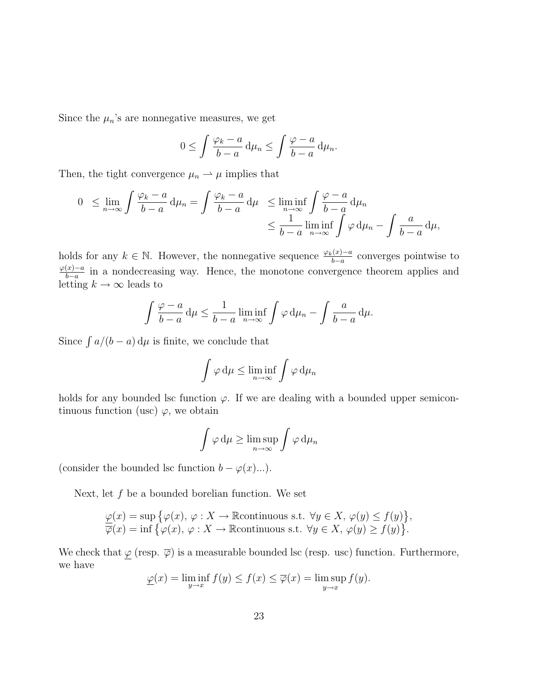Since the  $\mu_n$ 's are nonnegative measures, we get

$$
0 \le \int \frac{\varphi_k - a}{b - a} \, \mathrm{d}\mu_n \le \int \frac{\varphi - a}{b - a} \, \mathrm{d}\mu_n.
$$

Then, the tight convergence  $\mu_n \rightharpoonup \mu$  implies that

$$
0 \leq \lim_{n \to \infty} \int \frac{\varphi_k - a}{b - a} d\mu_n = \int \frac{\varphi_k - a}{b - a} d\mu \leq \liminf_{n \to \infty} \int \frac{\varphi - a}{b - a} d\mu_n
$$
  

$$
\leq \frac{1}{b - a} \liminf_{n \to \infty} \int \varphi d\mu_n - \int \frac{a}{b - a} d\mu,
$$

holds for any  $k \in \mathbb{N}$ . However, the nonnegative sequence  $\frac{\varphi_k(x)-a}{b-a}$  converges pointwise to  $\varphi(x)-a$  $\frac{(x)-a}{b-a}$  in a nondecreasing way. Hence, the monotone convergence theorem applies and letting  $k \to \infty$  leads to

$$
\int \frac{\varphi - a}{b - a} d\mu \le \frac{1}{b - a} \liminf_{n \to \infty} \int \varphi d\mu_n - \int \frac{a}{b - a} d\mu.
$$

Since  $\int a/(b-a) d\mu$  is finite, we conclude that

$$
\int \varphi \, \mathrm{d}\mu \le \liminf_{n \to \infty} \int \varphi \, \mathrm{d}\mu_n
$$

holds for any bounded lsc function  $\varphi$ . If we are dealing with a bounded upper semicontinuous function (usc)  $\varphi$ , we obtain

$$
\int \varphi \, \mathrm{d}\mu \ge \limsup_{n \to \infty} \int \varphi \, \mathrm{d}\mu_n
$$

(consider the bounded lsc function  $b - \varphi(x)...)$ .

Next, let  $f$  be a bounded borelian function. We set

$$
\underline{\varphi}(x) = \sup \{ \varphi(x), \varphi : X \to \mathbb{R} \text{continuous s.t. } \forall y \in X, \varphi(y) \le f(y) \},
$$
  

$$
\overline{\varphi}(x) = \inf \{ \varphi(x), \varphi : X \to \mathbb{R} \text{continuous s.t. } \forall y \in X, \varphi(y) \ge f(y) \}.
$$

We check that  $\varphi$  (resp.  $\overline{\varphi}$ ) is a measurable bounded lsc (resp. usc) function. Furthermore, we have

$$
\underline{\varphi}(x) = \liminf_{y \to x} f(y) \le f(x) \le \overline{\varphi}(x) = \limsup_{y \to x} f(y).
$$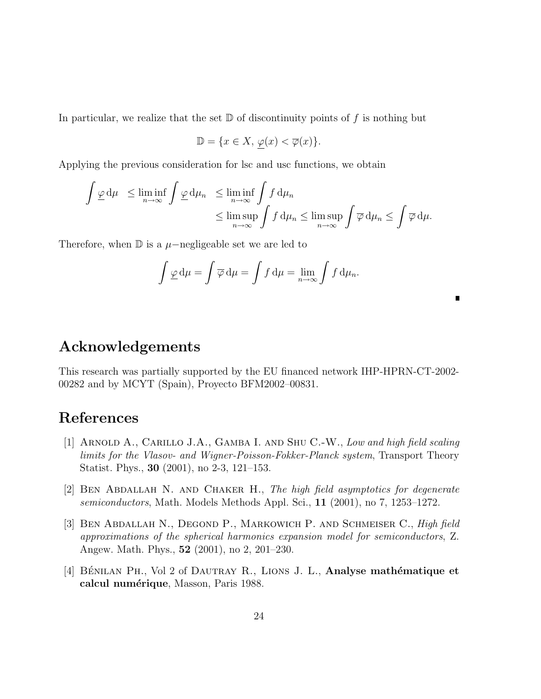In particular, we realize that the set  $\mathbb D$  of discontinuity points of f is nothing but

$$
\mathbb{D} = \{x \in X, \, \underline{\varphi}(x) < \overline{\varphi}(x)\}.
$$

Applying the previous consideration for lsc and usc functions, we obtain

$$
\int \underline{\varphi} \, d\mu \le \liminf_{n \to \infty} \int \underline{\varphi} \, d\mu_n \le \liminf_{n \to \infty} \int f \, d\mu_n
$$
  

$$
\le \limsup_{n \to \infty} \int f \, d\mu_n \le \limsup_{n \to \infty} \int \overline{\varphi} \, d\mu_n \le \int \overline{\varphi} \, d\mu.
$$

Therefore, when  $\mathbb D$  is a  $\mu$ −negligeable set we are led to

$$
\int \underline{\varphi} \, \mathrm{d}\mu = \int \overline{\varphi} \, \mathrm{d}\mu = \int f \, \mathrm{d}\mu = \lim_{n \to \infty} \int f \, \mathrm{d}\mu_n.
$$

 $\blacksquare$ 

### Acknowledgements

This research was partially supported by the EU financed network IHP-HPRN-CT-2002- 00282 and by MCYT (Spain), Proyecto BFM2002–00831.

## References

- [1] ARNOLD A., CARILLO J.A., GAMBA I. AND SHU C.-W., Low and high field scaling limits for the Vlasov- and Wigner-Poisson-Fokker-Planck system, Transport Theory Statist. Phys., 30 (2001), no 2-3, 121–153.
- [2] Ben Abdallah N. and Chaker H., The high field asymptotics for degenerate semiconductors, Math. Models Methods Appl. Sci., 11 (2001), no 7, 1253–1272.
- [3] BEN ABDALLAH N., DEGOND P., MARKOWICH P. AND SCHMEISER C., High field approximations of the spherical harmonics expansion model for semiconductors, Z. Angew. Math. Phys., 52 (2001), no 2, 201–230.
- [4] BÉNILAN PH., Vol 2 of DAUTRAY R., LIONS J. L., Analyse mathématique et calcul numérique, Masson, Paris 1988.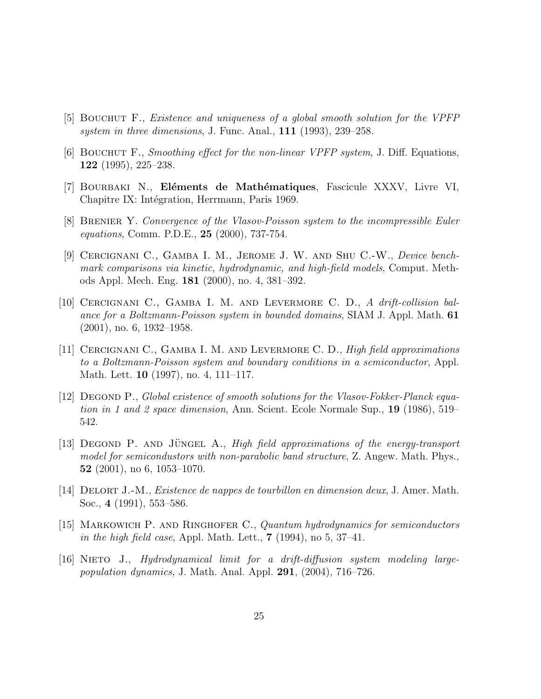- [5] Bouchut F., Existence and uniqueness of a global smooth solution for the VPFP system in three dimensions, J. Func. Anal., 111 (1993), 239–258.
- [6] Bouchut F., Smoothing effect for the non-linear VPFP system, J. Diff. Equations, 122 (1995), 225–238.
- [7] BOURBAKI N., Eléments de Mathématiques, Fascicule XXXV, Livre VI, Chapitre IX: Intégration, Herrmann, Paris 1969.
- [8] Brenier Y. Convergence of the Vlasov-Poisson system to the incompressible Euler equations, Comm. P.D.E., 25 (2000), 737-754.
- [9] CERCIGNANI C., GAMBA I. M., JEROME J. W. AND SHU C.-W., Device benchmark comparisons via kinetic, hydrodynamic, and high-field models, Comput. Methods Appl. Mech. Eng. 181 (2000), no. 4, 381–392.
- [10] Cercignani C., Gamba I. M. and Levermore C. D., A drift-collision balance for a Boltzmann-Poisson system in bounded domains, SIAM J. Appl. Math. 61 (2001), no. 6, 1932–1958.
- [11] CERCIGNANI C., GAMBA I. M. AND LEVERMORE C. D., High field approximations to a Boltzmann-Poisson system and boundary conditions in a semiconductor, Appl. Math. Lett. 10 (1997), no. 4, 111–117.
- [12] Degond P., Global existence of smooth solutions for the Vlasov-Fokker-Planck equation in 1 and 2 space dimension, Ann. Scient. Ecole Normale Sup., 19 (1986), 519– 542.
- [13] DEGOND P. AND JÜNGEL A., High field approximations of the energy-transport model for semicondustors with non-parabolic band structure, Z. Angew. Math. Phys., 52 (2001), no 6, 1053–1070.
- [14] Delort J.-M., Existence de nappes de tourbillon en dimension deux, J. Amer. Math. Soc., 4 (1991), 553–586.
- [15] MARKOWICH P. AND RINGHOFER C., Quantum hydrodynamics for semiconductors in the high field case, Appl. Math. Lett.,  $7(1994)$ , no 5,  $37-41$ .
- [16] Nieto J., Hydrodynamical limit for a drift-diffusion system modeling largepopulation dynamics, J. Math. Anal. Appl.  $291, (2004), 716-726$ .